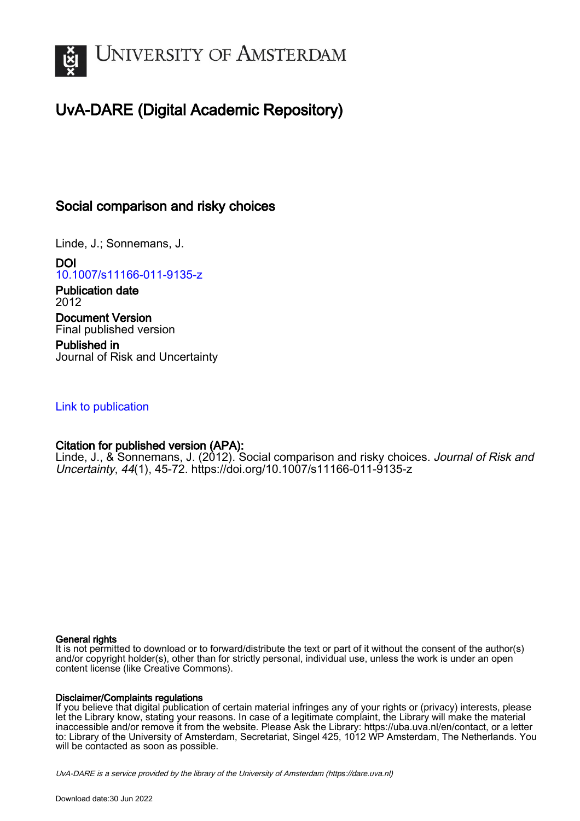

# UvA-DARE (Digital Academic Repository)

# Social comparison and risky choices

Linde, J.; Sonnemans, J.

DOI [10.1007/s11166-011-9135-z](https://doi.org/10.1007/s11166-011-9135-z)

Publication date 2012 Document Version Final published version

Published in Journal of Risk and Uncertainty

## [Link to publication](https://dare.uva.nl/personal/pure/en/publications/social-comparison-and-risky-choices(f115f28b-6eba-4f66-9ce8-3b0de414d7fb).html)

# Citation for published version (APA):

Linde, J., & Sonnemans, J. (2012). Social comparison and risky choices. Journal of Risk and Uncertainty, 44(1), 45-72.<https://doi.org/10.1007/s11166-011-9135-z>

## General rights

It is not permitted to download or to forward/distribute the text or part of it without the consent of the author(s) and/or copyright holder(s), other than for strictly personal, individual use, unless the work is under an open content license (like Creative Commons).

## Disclaimer/Complaints regulations

If you believe that digital publication of certain material infringes any of your rights or (privacy) interests, please let the Library know, stating your reasons. In case of a legitimate complaint, the Library will make the material inaccessible and/or remove it from the website. Please Ask the Library: https://uba.uva.nl/en/contact, or a letter to: Library of the University of Amsterdam, Secretariat, Singel 425, 1012 WP Amsterdam, The Netherlands. You will be contacted as soon as possible.

UvA-DARE is a service provided by the library of the University of Amsterdam (http*s*://dare.uva.nl)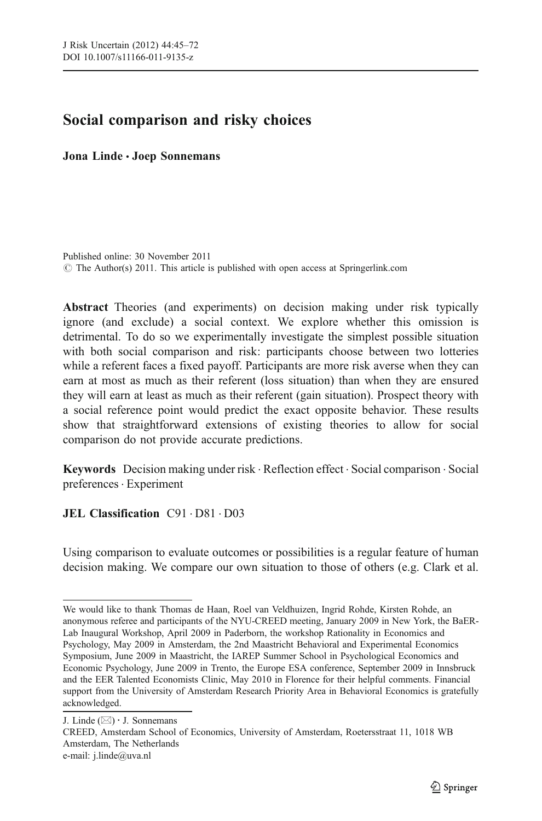# Social comparison and risky choices

Jona Linde · Joep Sonnemans

Published online: 30 November 2011  $\circ$  The Author(s) 2011. This article is published with open access at Springerlink.com

Abstract Theories (and experiments) on decision making under risk typically ignore (and exclude) a social context. We explore whether this omission is detrimental. To do so we experimentally investigate the simplest possible situation with both social comparison and risk: participants choose between two lotteries while a referent faces a fixed payoff. Participants are more risk averse when they can earn at most as much as their referent (loss situation) than when they are ensured they will earn at least as much as their referent (gain situation). Prospect theory with a social reference point would predict the exact opposite behavior. These results show that straightforward extensions of existing theories to allow for social comparison do not provide accurate predictions.

Keywords Decision making under risk . Reflection effect . Social comparison . Social preferences . Experiment

## JEL Classification C91 . D81 . D03

Using comparison to evaluate outcomes or possibilities is a regular feature of human decision making. We compare our own situation to those of others (e.g. Clark et al.

CREED, Amsterdam School of Economics, University of Amsterdam, Roetersstraat 11, 1018 WB Amsterdam, The Netherlands e-mail: j.linde@uva.nl

We would like to thank Thomas de Haan, Roel van Veldhuizen, Ingrid Rohde, Kirsten Rohde, an anonymous referee and participants of the NYU-CREED meeting, January 2009 in New York, the BaER-Lab Inaugural Workshop, April 2009 in Paderborn, the workshop Rationality in Economics and Psychology, May 2009 in Amsterdam, the 2nd Maastricht Behavioral and Experimental Economics Symposium, June 2009 in Maastricht, the IAREP Summer School in Psychological Economics and Economic Psychology, June 2009 in Trento, the Europe ESA conference, September 2009 in Innsbruck and the EER Talented Economists Clinic, May 2010 in Florence for their helpful comments. Financial support from the University of Amsterdam Research Priority Area in Behavioral Economics is gratefully acknowledged.

J. Linde ( $\boxtimes$ ) · J. Sonnemans

 $\textcircled{2}$  Springer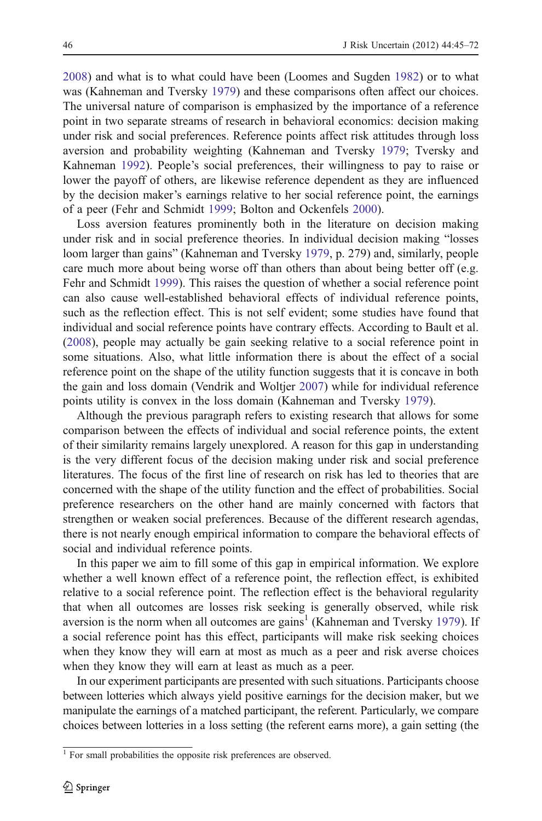[2008\)](#page-27-0) and what is to what could have been (Loomes and Sugden [1982\)](#page-28-0) or to what was (Kahneman and Tversky [1979](#page-27-0)) and these comparisons often affect our choices. The universal nature of comparison is emphasized by the importance of a reference point in two separate streams of research in behavioral economics: decision making under risk and social preferences. Reference points affect risk attitudes through loss aversion and probability weighting (Kahneman and Tversky [1979](#page-27-0); Tversky and Kahneman [1992](#page-28-0)). People's social preferences, their willingness to pay to raise or lower the payoff of others, are likewise reference dependent as they are influenced by the decision maker's earnings relative to her social reference point, the earnings of a peer (Fehr and Schmidt [1999;](#page-27-0) Bolton and Ockenfels [2000](#page-27-0)).

Loss aversion features prominently both in the literature on decision making under risk and in social preference theories. In individual decision making "losses loom larger than gains" (Kahneman and Tversky [1979](#page-27-0), p. 279) and, similarly, people care much more about being worse off than others than about being better off (e.g. Fehr and Schmidt [1999\)](#page-27-0). This raises the question of whether a social reference point can also cause well-established behavioral effects of individual reference points, such as the reflection effect. This is not self evident; some studies have found that individual and social reference points have contrary effects. According to Bault et al. [\(2008](#page-27-0)), people may actually be gain seeking relative to a social reference point in some situations. Also, what little information there is about the effect of a social reference point on the shape of the utility function suggests that it is concave in both the gain and loss domain (Vendrik and Woltjer [2007\)](#page-28-0) while for individual reference points utility is convex in the loss domain (Kahneman and Tversky [1979\)](#page-27-0).

Although the previous paragraph refers to existing research that allows for some comparison between the effects of individual and social reference points, the extent of their similarity remains largely unexplored. A reason for this gap in understanding is the very different focus of the decision making under risk and social preference literatures. The focus of the first line of research on risk has led to theories that are concerned with the shape of the utility function and the effect of probabilities. Social preference researchers on the other hand are mainly concerned with factors that strengthen or weaken social preferences. Because of the different research agendas, there is not nearly enough empirical information to compare the behavioral effects of social and individual reference points.

In this paper we aim to fill some of this gap in empirical information. We explore whether a well known effect of a reference point, the reflection effect, is exhibited relative to a social reference point. The reflection effect is the behavioral regularity that when all outcomes are losses risk seeking is generally observed, while risk aversion is the norm when all outcomes are gains<sup>1</sup> (Kahneman and Tversky [1979\)](#page-27-0). If a social reference point has this effect, participants will make risk seeking choices when they know they will earn at most as much as a peer and risk averse choices when they know they will earn at least as much as a peer.

In our experiment participants are presented with such situations. Participants choose between lotteries which always yield positive earnings for the decision maker, but we manipulate the earnings of a matched participant, the referent. Particularly, we compare choices between lotteries in a loss setting (the referent earns more), a gain setting (the

<sup>&</sup>lt;sup>1</sup> For small probabilities the opposite risk preferences are observed.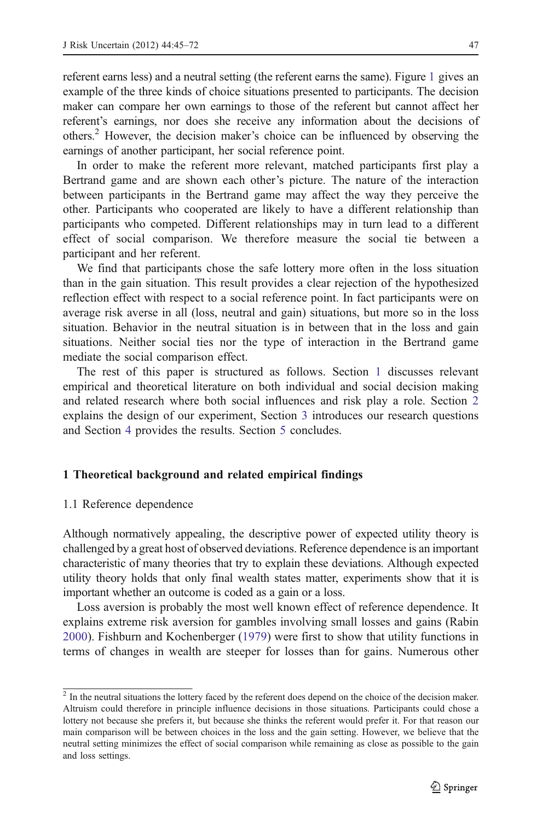referent earns less) and a neutral setting (the referent earns the same). Figure [1](#page-4-0) gives an example of the three kinds of choice situations presented to participants. The decision maker can compare her own earnings to those of the referent but cannot affect her referent's earnings, nor does she receive any information about the decisions of others.2 However, the decision maker's choice can be influenced by observing the earnings of another participant, her social reference point.

In order to make the referent more relevant, matched participants first play a Bertrand game and are shown each other's picture. The nature of the interaction between participants in the Bertrand game may affect the way they perceive the other. Participants who cooperated are likely to have a different relationship than participants who competed. Different relationships may in turn lead to a different effect of social comparison. We therefore measure the social tie between a participant and her referent.

We find that participants chose the safe lottery more often in the loss situation than in the gain situation. This result provides a clear rejection of the hypothesized reflection effect with respect to a social reference point. In fact participants were on average risk averse in all (loss, neutral and gain) situations, but more so in the loss situation. Behavior in the neutral situation is in between that in the loss and gain situations. Neither social ties nor the type of interaction in the Bertrand game mediate the social comparison effect.

The rest of this paper is structured as follows. Section 1 discusses relevant empirical and theoretical literature on both individual and social decision making and related research where both social influences and risk play a role. Section [2](#page-8-0) explains the design of our experiment, Section [3](#page-12-0) introduces our research questions and Section [4](#page-15-0) provides the results. Section [5](#page-20-0) concludes.

### 1 Theoretical background and related empirical findings

#### 1.1 Reference dependence

Although normatively appealing, the descriptive power of expected utility theory is challenged by a great host of observed deviations. Reference dependence is an important characteristic of many theories that try to explain these deviations. Although expected utility theory holds that only final wealth states matter, experiments show that it is important whether an outcome is coded as a gain or a loss.

Loss aversion is probably the most well known effect of reference dependence. It explains extreme risk aversion for gambles involving small losses and gains (Rabin [2000\)](#page-28-0). Fishburn and Kochenberger ([1979\)](#page-27-0) were first to show that utility functions in terms of changes in wealth are steeper for losses than for gains. Numerous other

 $2 \text{ In the neutral situations the lottery faced by the referent does depend on the choice of the decision maker.}$ Altruism could therefore in principle influence decisions in those situations. Participants could chose a lottery not because she prefers it, but because she thinks the referent would prefer it. For that reason our main comparison will be between choices in the loss and the gain setting. However, we believe that the neutral setting minimizes the effect of social comparison while remaining as close as possible to the gain and loss settings.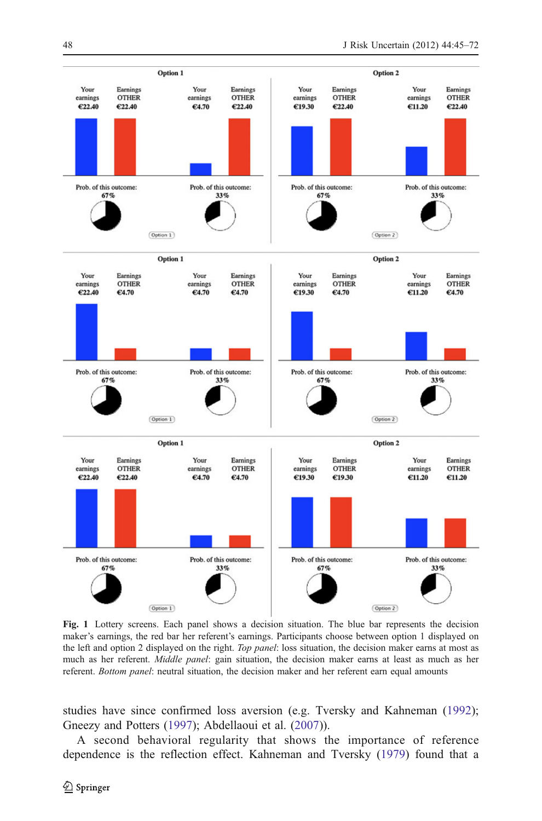<span id="page-4-0"></span>

Fig. 1 Lottery screens. Each panel shows a decision situation. The blue bar represents the decision maker's earnings, the red bar her referent's earnings. Participants choose between option 1 displayed on the left and option 2 displayed on the right. Top panel: loss situation, the decision maker earns at most as much as her referent. Middle panel: gain situation, the decision maker earns at least as much as her referent. Bottom panel: neutral situation, the decision maker and her referent earn equal amounts

studies have since confirmed loss aversion (e.g. Tversky and Kahneman [\(1992](#page-28-0)); Gneezy and Potters [\(1997](#page-27-0)); Abdellaoui et al. ([2007\)](#page-27-0)).

A second behavioral regularity that shows the importance of reference dependence is the reflection effect. Kahneman and Tversky ([1979\)](#page-27-0) found that a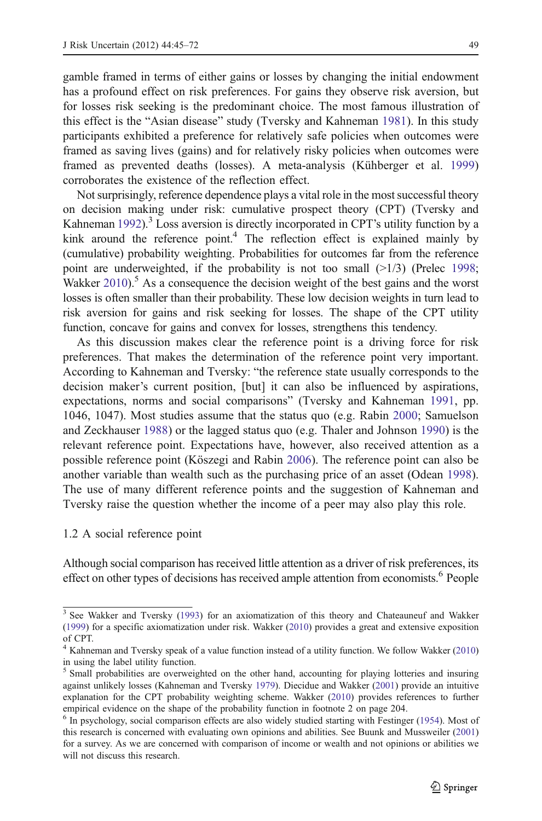gamble framed in terms of either gains or losses by changing the initial endowment has a profound effect on risk preferences. For gains they observe risk aversion, but for losses risk seeking is the predominant choice. The most famous illustration of this effect is the "Asian disease" study (Tversky and Kahneman [1981\)](#page-28-0). In this study participants exhibited a preference for relatively safe policies when outcomes were framed as saving lives (gains) and for relatively risky policies when outcomes were framed as prevented deaths (losses). A meta-analysis (Kühberger et al. [1999](#page-28-0)) corroborates the existence of the reflection effect.

Not surprisingly, reference dependence plays a vital role in the most successful theory on decision making under risk: cumulative prospect theory (CPT) (Tversky and Kahneman  $1992$ ).<sup>3</sup> Loss aversion is directly incorporated in CPT's utility function by a kink around the reference point.<sup>4</sup> The reflection effect is explained mainly by (cumulative) probability weighting. Probabilities for outcomes far from the reference point are underweighted, if the probability is not too small  $(>1/3)$  (Prelec [1998;](#page-28-0) Wakker  $2010$ .<sup>5</sup> As a consequence the decision weight of the best gains and the worst losses is often smaller than their probability. These low decision weights in turn lead to risk aversion for gains and risk seeking for losses. The shape of the CPT utility function, concave for gains and convex for losses, strengthens this tendency.

As this discussion makes clear the reference point is a driving force for risk preferences. That makes the determination of the reference point very important. According to Kahneman and Tversky: "the reference state usually corresponds to the decision maker's current position, [but] it can also be influenced by aspirations, expectations, norms and social comparisons" (Tversky and Kahneman [1991,](#page-28-0) pp. 1046, 1047). Most studies assume that the status quo (e.g. Rabin [2000;](#page-28-0) Samuelson and Zeckhauser [1988](#page-28-0)) or the lagged status quo (e.g. Thaler and Johnson [1990](#page-28-0)) is the relevant reference point. Expectations have, however, also received attention as a possible reference point (Köszegi and Rabin [2006\)](#page-27-0). The reference point can also be another variable than wealth such as the purchasing price of an asset (Odean [1998\)](#page-28-0). The use of many different reference points and the suggestion of Kahneman and Tversky raise the question whether the income of a peer may also play this role.

#### 1.2 A social reference point

Although social comparison has received little attention as a driver of risk preferences, its effect on other types of decisions has received ample attention from economists.<sup>6</sup> People

<sup>&</sup>lt;sup>3</sup> See Wakker and Tversky [\(1993\)](#page-28-0) for an axiomatization of this theory and Chateauneuf and Wakker ([1999\)](#page-27-0) for a specific axiomatization under risk. Wakker [\(2010](#page-28-0)) provides a great and extensive exposition of CPT.

<sup>4</sup> Kahneman and Tversky speak of a value function instead of a utility function. We follow Wakker ([2010\)](#page-28-0) in using the label utility function.

<sup>&</sup>lt;sup>5</sup> Small probabilities are overweighted on the other hand, accounting for playing lotteries and insuring against unlikely losses (Kahneman and Tversky [1979](#page-27-0)). Diecidue and Wakker ([2001](#page-27-0)) provide an intuitive explanation for the CPT probability weighting scheme. Wakker ([2010\)](#page-28-0) provides references to further empirical evidence on the shape of the probability function in footnote 2 on page 204.

<sup>6</sup> In psychology, social comparison effects are also widely studied starting with Festinger [\(1954](#page-27-0)). Most of this research is concerned with evaluating own opinions and abilities. See Buunk and Mussweiler ([2001\)](#page-27-0) for a survey. As we are concerned with comparison of income or wealth and not opinions or abilities we will not discuss this research.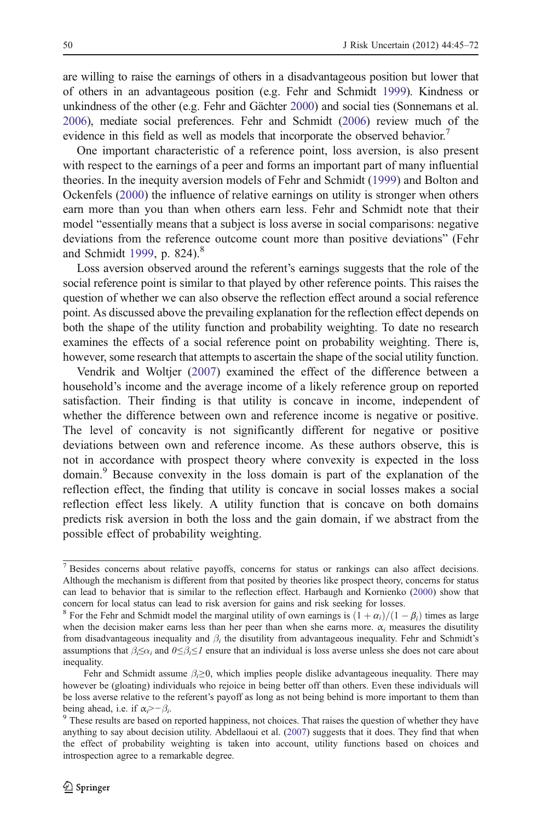are willing to raise the earnings of others in a disadvantageous position but lower that of others in an advantageous position (e.g. Fehr and Schmidt [1999](#page-27-0)). Kindness or unkindness of the other (e.g. Fehr and Gächter [2000\)](#page-27-0) and social ties (Sonnemans et al. [2006](#page-28-0)), mediate social preferences. Fehr and Schmidt ([2006\)](#page-27-0) review much of the evidence in this field as well as models that incorporate the observed behavior.<sup>7</sup>

One important characteristic of a reference point, loss aversion, is also present with respect to the earnings of a peer and forms an important part of many influential theories. In the inequity aversion models of Fehr and Schmidt ([1999\)](#page-27-0) and Bolton and Ockenfels [\(2000](#page-27-0)) the influence of relative earnings on utility is stronger when others earn more than you than when others earn less. Fehr and Schmidt note that their model "essentially means that a subject is loss averse in social comparisons: negative deviations from the reference outcome count more than positive deviations" (Fehr and Schmidt [1999,](#page-27-0) p. 824).<sup>8</sup>

Loss aversion observed around the referent's earnings suggests that the role of the social reference point is similar to that played by other reference points. This raises the question of whether we can also observe the reflection effect around a social reference point. As discussed above the prevailing explanation for the reflection effect depends on both the shape of the utility function and probability weighting. To date no research examines the effects of a social reference point on probability weighting. There is, however, some research that attempts to ascertain the shape of the social utility function.

Vendrik and Woltjer ([2007](#page-28-0)) examined the effect of the difference between a household's income and the average income of a likely reference group on reported satisfaction. Their finding is that utility is concave in income, independent of whether the difference between own and reference income is negative or positive. The level of concavity is not significantly different for negative or positive deviations between own and reference income. As these authors observe, this is not in accordance with prospect theory where convexity is expected in the loss domain.<sup>9</sup> Because convexity in the loss domain is part of the explanation of the reflection effect, the finding that utility is concave in social losses makes a social reflection effect less likely. A utility function that is concave on both domains predicts risk aversion in both the loss and the gain domain, if we abstract from the possible effect of probability weighting.

<sup>7</sup> Besides concerns about relative payoffs, concerns for status or rankings can also affect decisions. Although the mechanism is different from that posited by theories like prospect theory, concerns for status can lead to behavior that is similar to the reflection effect. Harbaugh and Kornienko [\(2000](#page-27-0)) show that concern for local status can lead to risk aversion for gains and risk seeking for losses.

<sup>&</sup>lt;sup>8</sup> For the Fehr and Schmidt model the marginal utility of own earnings is  $(1 + \alpha_i)/(1 - \beta_i)$  times as large when the decision maker earns less than her peer than when she earns more.  $\alpha_i$  measures the disutility from disadvantageous inequality and  $\beta_i$  the disutility from advantageous inequality. Fehr and Schmidt's assumptions that  $\beta_i \leq \alpha_i$  and  $0 \leq \beta_i \leq 1$  ensure that an individual is loss averse unless she does not care about inequality.

Fehr and Schmidt assume  $\beta_i \geq 0$ , which implies people dislike advantageous inequality. There may however be (gloating) individuals who rejoice in being better off than others. Even these individuals will be loss averse relative to the referent's payoff as long as not being behind is more important to them than being ahead, i.e. if  $\alpha_i > -\beta_i$ .<br><sup>9</sup> These results are based on reported happiness, not choices. That raises the question of whether they have

anything to say about decision utility. Abdellaoui et al. ([2007\)](#page-27-0) suggests that it does. They find that when the effect of probability weighting is taken into account, utility functions based on choices and introspection agree to a remarkable degree.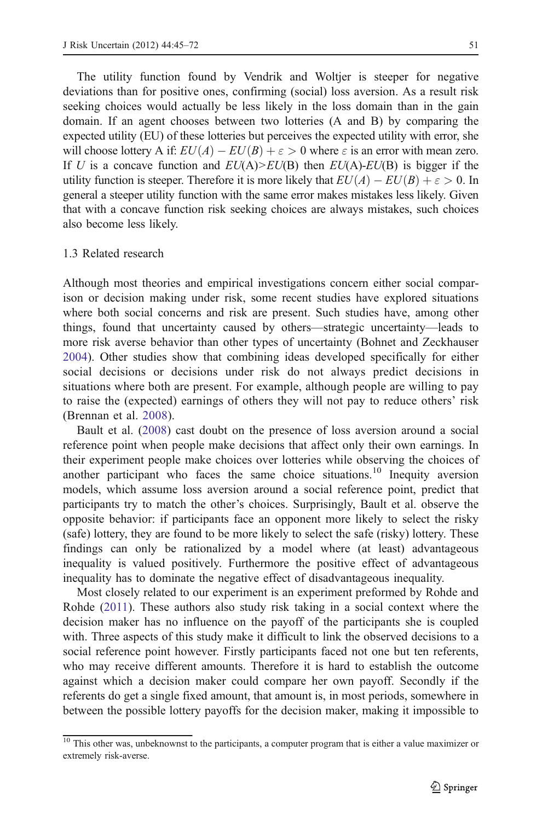The utility function found by Vendrik and Woltjer is steeper for negative deviations than for positive ones, confirming (social) loss aversion. As a result risk seeking choices would actually be less likely in the loss domain than in the gain domain. If an agent chooses between two lotteries (A and B) by comparing the expected utility (EU) of these lotteries but perceives the expected utility with error, she will choose lottery A if:  $EU(A) - EU(B) + \varepsilon > 0$  where  $\varepsilon$  is an error with mean zero. If U is a concave function and  $EU(A) > EU(B)$  then  $EU(A)$ -EU(B) is bigger if the utility function is steeper. Therefore it is more likely that  $EU(A) - EU(B) + \varepsilon > 0$ . In general a steeper utility function with the same error makes mistakes less likely. Given that with a concave function risk seeking choices are always mistakes, such choices also become less likely.

#### 1.3 Related research

Although most theories and empirical investigations concern either social comparison or decision making under risk, some recent studies have explored situations where both social concerns and risk are present. Such studies have, among other things, found that uncertainty caused by others—strategic uncertainty—leads to more risk averse behavior than other types of uncertainty (Bohnet and Zeckhauser [2004\)](#page-27-0). Other studies show that combining ideas developed specifically for either social decisions or decisions under risk do not always predict decisions in situations where both are present. For example, although people are willing to pay to raise the (expected) earnings of others they will not pay to reduce others' risk (Brennan et al. [2008](#page-27-0)).

Bault et al. [\(2008](#page-27-0)) cast doubt on the presence of loss aversion around a social reference point when people make decisions that affect only their own earnings. In their experiment people make choices over lotteries while observing the choices of another participant who faces the same choice situations.<sup>10</sup> Inequity aversion models, which assume loss aversion around a social reference point, predict that participants try to match the other's choices. Surprisingly, Bault et al. observe the opposite behavior: if participants face an opponent more likely to select the risky (safe) lottery, they are found to be more likely to select the safe (risky) lottery. These findings can only be rationalized by a model where (at least) advantageous inequality is valued positively. Furthermore the positive effect of advantageous inequality has to dominate the negative effect of disadvantageous inequality.

Most closely related to our experiment is an experiment preformed by Rohde and Rohde [\(2011\)](#page-28-0). These authors also study risk taking in a social context where the decision maker has no influence on the payoff of the participants she is coupled with. Three aspects of this study make it difficult to link the observed decisions to a social reference point however. Firstly participants faced not one but ten referents, who may receive different amounts. Therefore it is hard to establish the outcome against which a decision maker could compare her own payoff. Secondly if the referents do get a single fixed amount, that amount is, in most periods, somewhere in between the possible lottery payoffs for the decision maker, making it impossible to

<sup>&</sup>lt;sup>10</sup> This other was, unbeknownst to the participants, a computer program that is either a value maximizer or extremely risk-averse.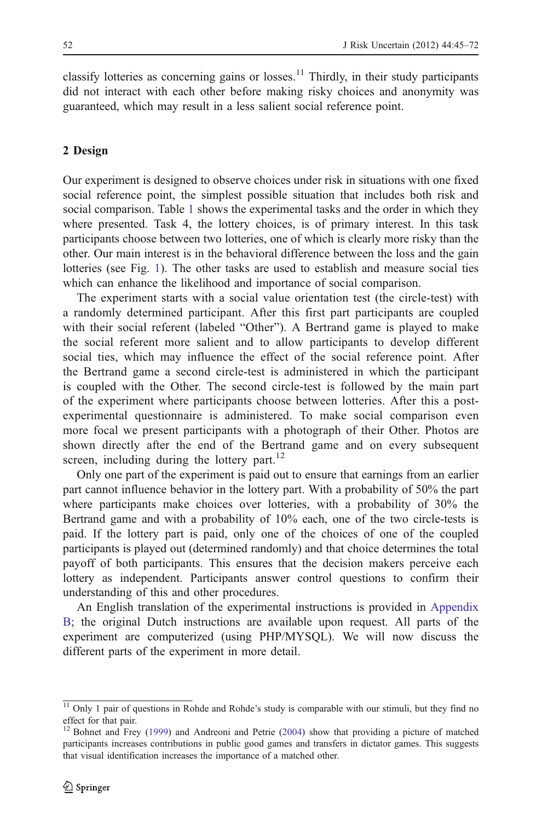<span id="page-8-0"></span>classify lotteries as concerning gains or losses.<sup>11</sup> Thirdly, in their study participants did not interact with each other before making risky choices and anonymity was guaranteed, which may result in a less salient social reference point.

#### 2 Design

Our experiment is designed to observe choices under risk in situations with one fixed social reference point, the simplest possible situation that includes both risk and social comparison. Table [1](#page-9-0) shows the experimental tasks and the order in which they where presented. Task 4, the lottery choices, is of primary interest. In this task participants choose between two lotteries, one of which is clearly more risky than the other. Our main interest is in the behavioral difference between the loss and the gain lotteries (see Fig. [1](#page-4-0)). The other tasks are used to establish and measure social ties which can enhance the likelihood and importance of social comparison.

The experiment starts with a social value orientation test (the circle-test) with a randomly determined participant. After this first part participants are coupled with their social referent (labeled "Other"). A Bertrand game is played to make the social referent more salient and to allow participants to develop different social ties, which may influence the effect of the social reference point. After the Bertrand game a second circle-test is administered in which the participant is coupled with the Other. The second circle-test is followed by the main part of the experiment where participants choose between lotteries. After this a postexperimental questionnaire is administered. To make social comparison even more focal we present participants with a photograph of their Other. Photos are shown directly after the end of the Bertrand game and on every subsequent screen, including during the lottery part.<sup>12</sup>

Only one part of the experiment is paid out to ensure that earnings from an earlier part cannot influence behavior in the lottery part. With a probability of 50% the part where participants make choices over lotteries, with a probability of 30% the Bertrand game and with a probability of 10% each, one of the two circle-tests is paid. If the lottery part is paid, only one of the choices of one of the coupled participants is played out (determined randomly) and that choice determines the total payoff of both participants. This ensures that the decision makers perceive each lottery as independent. Participants answer control questions to confirm their understanding of this and other procedures.

An English translation of the experimental instructions is provided in [Appendix](#page-22-0) [B;](#page-22-0) the original Dutch instructions are available upon request. All parts of the experiment are computerized (using PHP/MYSQL). We will now discuss the different parts of the experiment in more detail.

 $\frac{11}{11}$  Only 1 pair of questions in Rohde and Rohde's study is comparable with our stimuli, but they find no effect for that pair.<br><sup>12</sup> Bohnet and Frey ([1999](#page-27-0)) and Andreoni and Petrie ([2004\)](#page-27-0) show that providing a picture of matched

participants increases contributions in public good games and transfers in dictator games. This suggests that visual identification increases the importance of a matched other.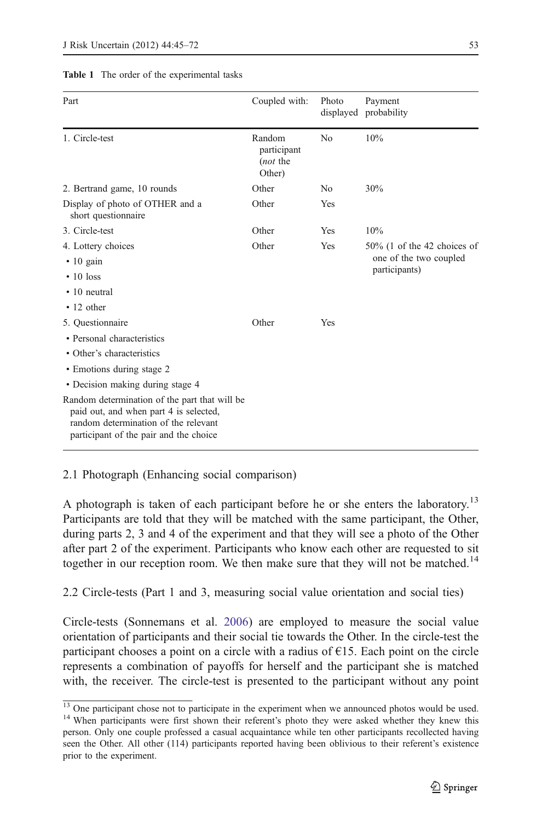| Part                                                                                                                                                                      | Coupled with:                                       | Photo<br>displayed | Payment<br>probability         |  |  |
|---------------------------------------------------------------------------------------------------------------------------------------------------------------------------|-----------------------------------------------------|--------------------|--------------------------------|--|--|
| 1. Circle-test                                                                                                                                                            | Random<br>participant<br>( <i>not</i> the<br>Other) | N <sub>0</sub>     | 10%                            |  |  |
| 2. Bertrand game, 10 rounds                                                                                                                                               | Other                                               | N <sub>0</sub>     | 30%                            |  |  |
| Display of photo of OTHER and a<br>short questionnaire                                                                                                                    | Other                                               | Yes                |                                |  |  |
| 3. Circle-test                                                                                                                                                            | Other                                               | Yes                | 10%                            |  |  |
| 4. Lottery choices                                                                                                                                                        | Other                                               | Yes                | $50\%$ (1 of the 42 choices of |  |  |
| $\cdot$ 10 gain                                                                                                                                                           |                                                     |                    | one of the two coupled         |  |  |
| $\cdot$ 10 loss                                                                                                                                                           |                                                     |                    | participants)                  |  |  |
| $\cdot$ 10 neutral                                                                                                                                                        |                                                     |                    |                                |  |  |
| $\cdot$ 12 other                                                                                                                                                          |                                                     |                    |                                |  |  |
| 5. Ouestionnaire                                                                                                                                                          | Other                                               | Yes                |                                |  |  |
| • Personal characteristics                                                                                                                                                |                                                     |                    |                                |  |  |
| • Other's characteristics                                                                                                                                                 |                                                     |                    |                                |  |  |
| • Emotions during stage 2                                                                                                                                                 |                                                     |                    |                                |  |  |
| • Decision making during stage 4                                                                                                                                          |                                                     |                    |                                |  |  |
| Random determination of the part that will be<br>paid out, and when part 4 is selected,<br>random determination of the relevant<br>participant of the pair and the choice |                                                     |                    |                                |  |  |

#### <span id="page-9-0"></span>Table 1 The order of the experimental tasks

## 2.1 Photograph (Enhancing social comparison)

A photograph is taken of each participant before he or she enters the laboratory.<sup>13</sup> Participants are told that they will be matched with the same participant, the Other, during parts 2, 3 and 4 of the experiment and that they will see a photo of the Other after part 2 of the experiment. Participants who know each other are requested to sit together in our reception room. We then make sure that they will not be matched.<sup>14</sup>

2.2 Circle-tests (Part 1 and 3, measuring social value orientation and social ties)

Circle-tests (Sonnemans et al. [2006\)](#page-28-0) are employed to measure the social value orientation of participants and their social tie towards the Other. In the circle-test the participant chooses a point on a circle with a radius of  $E15$ . Each point on the circle represents a combination of payoffs for herself and the participant she is matched with, the receiver. The circle-test is presented to the participant without any point

 $13$  One participant chose not to participate in the experiment when we announced photos would be used.  $14$  When participants were first shown their referent's photo they were asked whether they knew this person. Only one couple professed a casual acquaintance while ten other participants recollected having seen the Other. All other (114) participants reported having been oblivious to their referent's existence prior to the experiment.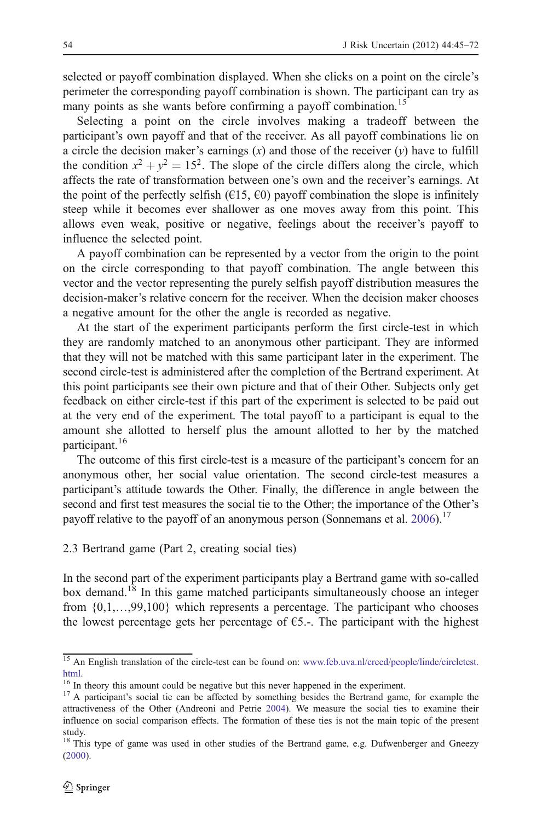selected or payoff combination displayed. When she clicks on a point on the circle's perimeter the corresponding payoff combination is shown. The participant can try as many points as she wants before confirming a payoff combination.<sup>15</sup>

Selecting a point on the circle involves making a tradeoff between the participant's own payoff and that of the receiver. As all payoff combinations lie on a circle the decision maker's earnings  $(x)$  and those of the receiver  $(y)$  have to fulfill the condition  $x^2 + y^2 = 15^2$ . The slope of the circle differs along the circle, which affects the rate of transformation between one's own and the receiver's earnings. At the point of the perfectly selfish ( $\epsilon$ 15,  $\epsilon$ 0) payoff combination the slope is infinitely steep while it becomes ever shallower as one moves away from this point. This allows even weak, positive or negative, feelings about the receiver's payoff to influence the selected point.

A payoff combination can be represented by a vector from the origin to the point on the circle corresponding to that payoff combination. The angle between this vector and the vector representing the purely selfish payoff distribution measures the decision-maker's relative concern for the receiver. When the decision maker chooses a negative amount for the other the angle is recorded as negative.

At the start of the experiment participants perform the first circle-test in which they are randomly matched to an anonymous other participant. They are informed that they will not be matched with this same participant later in the experiment. The second circle-test is administered after the completion of the Bertrand experiment. At this point participants see their own picture and that of their Other. Subjects only get feedback on either circle-test if this part of the experiment is selected to be paid out at the very end of the experiment. The total payoff to a participant is equal to the amount she allotted to herself plus the amount allotted to her by the matched participant.<sup>16</sup>

The outcome of this first circle-test is a measure of the participant's concern for an anonymous other, her social value orientation. The second circle-test measures a participant's attitude towards the Other. Finally, the difference in angle between the second and first test measures the social tie to the Other; the importance of the Other's payoff relative to the payoff of an anonymous person (Sonnemans et al.  $2006$ ).<sup>17</sup>

## 2.3 Bertrand game (Part 2, creating social ties)

In the second part of the experiment participants play a Bertrand game with so-called box demand.<sup>18</sup> In this game matched participants simultaneously choose an integer from {0,1,…,99,100} which represents a percentage. The participant who chooses the lowest percentage gets her percentage of  $\epsilon$ 5.-. The participant with the highest

<sup>&</sup>lt;sup>15</sup> An English translation of the circle-test can be found on: [www.feb.uva.nl/creed/people/linde/circletest.](http://www.feb.uva.nl/creed/people/linde/circletest.html) <sup>16</sup> In theory this amount could be negative but this never happened in the experiment.<br><sup>17</sup> A participant's social tie can be affected by something besides the Bertrand game, for example the

attractiveness of the Other (Andreoni and Petrie [2004\)](#page-27-0). We measure the social ties to examine their influence on social comparison effects. The formation of these ties is not the main topic of the present study.

<sup>&</sup>lt;sup>18</sup> This type of game was used in other studies of the Bertrand game, e.g. Dufwenberger and Gneezy ([2000\)](#page-27-0).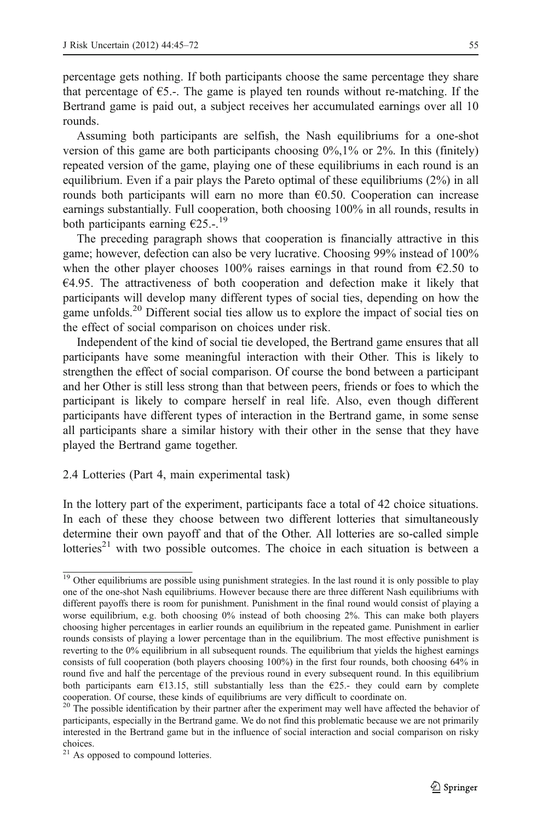percentage gets nothing. If both participants choose the same percentage they share that percentage of  $\epsilon$ 5.-. The game is played ten rounds without re-matching. If the Bertrand game is paid out, a subject receives her accumulated earnings over all 10 rounds.

Assuming both participants are selfish, the Nash equilibriums for a one-shot version of this game are both participants choosing  $0\%$ ,  $1\%$  or  $2\%$ . In this (finitely) repeated version of the game, playing one of these equilibriums in each round is an equilibrium. Even if a pair plays the Pareto optimal of these equilibriums (2%) in all rounds both participants will earn no more than  $\epsilon$ 0.50. Cooperation can increase earnings substantially. Full cooperation, both choosing 100% in all rounds, results in both participants earning  $625.-19$ 

The preceding paragraph shows that cooperation is financially attractive in this game; however, defection can also be very lucrative. Choosing 99% instead of 100% when the other player chooses 100% raises earnings in that round from  $\epsilon$ 2.50 to  $64.95$ . The attractiveness of both cooperation and defection make it likely that participants will develop many different types of social ties, depending on how the game unfolds.<sup>20</sup> Different social ties allow us to explore the impact of social ties on the effect of social comparison on choices under risk.

Independent of the kind of social tie developed, the Bertrand game ensures that all participants have some meaningful interaction with their Other. This is likely to strengthen the effect of social comparison. Of course the bond between a participant and her Other is still less strong than that between peers, friends or foes to which the participant is likely to compare herself in real life. Also, even though different participants have different types of interaction in the Bertrand game, in some sense all participants share a similar history with their other in the sense that they have played the Bertrand game together.

## 2.4 Lotteries (Part 4, main experimental task)

In the lottery part of the experiment, participants face a total of 42 choice situations. In each of these they choose between two different lotteries that simultaneously determine their own payoff and that of the Other. All lotteries are so-called simple lotteries<sup>21</sup> with two possible outcomes. The choice in each situation is between a

<sup>&</sup>lt;sup>19</sup> Other equilibriums are possible using punishment strategies. In the last round it is only possible to play one of the one-shot Nash equilibriums. However because there are three different Nash equilibriums with different payoffs there is room for punishment. Punishment in the final round would consist of playing a worse equilibrium, e.g. both choosing 0% instead of both choosing 2%. This can make both players choosing higher percentages in earlier rounds an equilibrium in the repeated game. Punishment in earlier rounds consists of playing a lower percentage than in the equilibrium. The most effective punishment is reverting to the 0% equilibrium in all subsequent rounds. The equilibrium that yields the highest earnings consists of full cooperation (both players choosing 100%) in the first four rounds, both choosing 64% in round five and half the percentage of the previous round in every subsequent round. In this equilibrium both participants earn  $E13.15$ , still substantially less than the  $E25$ .- they could earn by complete cooperation. Of course, these kinds of equilibriums are very difficult to coordinate on.

 $20$  The possible identification by their partner after the experiment may well have affected the behavior of participants, especially in the Bertrand game. We do not find this problematic because we are not primarily interested in the Bertrand game but in the influence of social interaction and social comparison on risky choices.

<sup>&</sup>lt;sup>21</sup> As opposed to compound lotteries.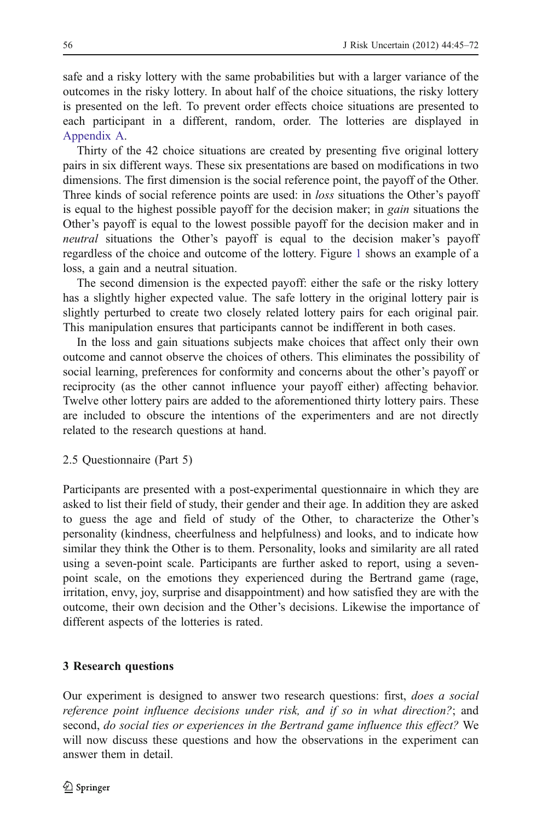<span id="page-12-0"></span>safe and a risky lottery with the same probabilities but with a larger variance of the outcomes in the risky lottery. In about half of the choice situations, the risky lottery is presented on the left. To prevent order effects choice situations are presented to each participant in a different, random, order. The lotteries are displayed in [Appendix A.](#page-21-0)

Thirty of the 42 choice situations are created by presenting five original lottery pairs in six different ways. These six presentations are based on modifications in two dimensions. The first dimension is the social reference point, the payoff of the Other. Three kinds of social reference points are used: in *loss* situations the Other's payoff is equal to the highest possible payoff for the decision maker; in *gain* situations the Other's payoff is equal to the lowest possible payoff for the decision maker and in neutral situations the Other's payoff is equal to the decision maker's payoff regardless of the choice and outcome of the lottery. Figure [1](#page-4-0) shows an example of a loss, a gain and a neutral situation.

The second dimension is the expected payoff: either the safe or the risky lottery has a slightly higher expected value. The safe lottery in the original lottery pair is slightly perturbed to create two closely related lottery pairs for each original pair. This manipulation ensures that participants cannot be indifferent in both cases.

In the loss and gain situations subjects make choices that affect only their own outcome and cannot observe the choices of others. This eliminates the possibility of social learning, preferences for conformity and concerns about the other's payoff or reciprocity (as the other cannot influence your payoff either) affecting behavior. Twelve other lottery pairs are added to the aforementioned thirty lottery pairs. These are included to obscure the intentions of the experimenters and are not directly related to the research questions at hand.

## 2.5 Questionnaire (Part 5)

Participants are presented with a post-experimental questionnaire in which they are asked to list their field of study, their gender and their age. In addition they are asked to guess the age and field of study of the Other, to characterize the Other's personality (kindness, cheerfulness and helpfulness) and looks, and to indicate how similar they think the Other is to them. Personality, looks and similarity are all rated using a seven-point scale. Participants are further asked to report, using a sevenpoint scale, on the emotions they experienced during the Bertrand game (rage, irritation, envy, joy, surprise and disappointment) and how satisfied they are with the outcome, their own decision and the Other's decisions. Likewise the importance of different aspects of the lotteries is rated.

## 3 Research questions

Our experiment is designed to answer two research questions: first, does a social reference point influence decisions under risk, and if so in what direction?; and second, do social ties or experiences in the Bertrand game influence this effect? We will now discuss these questions and how the observations in the experiment can answer them in detail.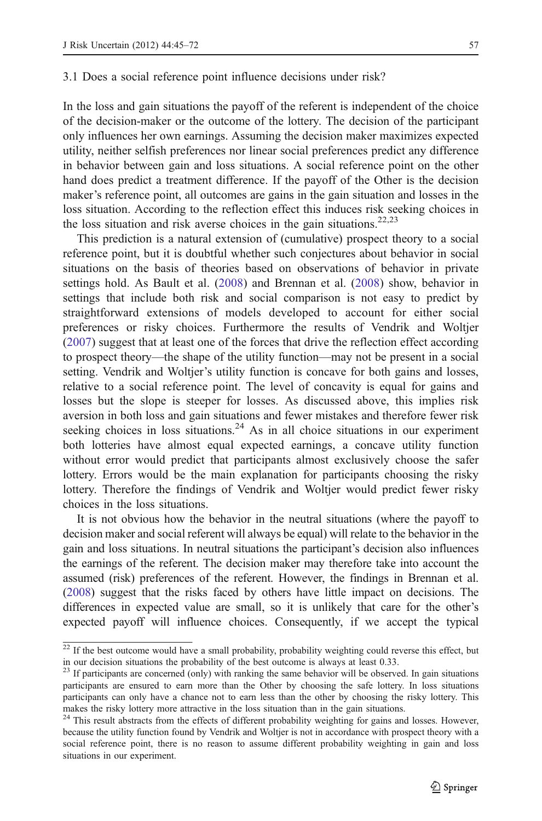#### 3.1 Does a social reference point influence decisions under risk?

In the loss and gain situations the payoff of the referent is independent of the choice of the decision-maker or the outcome of the lottery. The decision of the participant only influences her own earnings. Assuming the decision maker maximizes expected utility, neither selfish preferences nor linear social preferences predict any difference in behavior between gain and loss situations. A social reference point on the other hand does predict a treatment difference. If the payoff of the Other is the decision maker's reference point, all outcomes are gains in the gain situation and losses in the loss situation. According to the reflection effect this induces risk seeking choices in the loss situation and risk averse choices in the gain situations.<sup>22,23</sup>

This prediction is a natural extension of (cumulative) prospect theory to a social reference point, but it is doubtful whether such conjectures about behavior in social situations on the basis of theories based on observations of behavior in private settings hold. As Bault et al. [\(2008](#page-27-0)) and Brennan et al. [\(2008](#page-27-0)) show, behavior in settings that include both risk and social comparison is not easy to predict by straightforward extensions of models developed to account for either social preferences or risky choices. Furthermore the results of Vendrik and Woltjer [\(2007](#page-28-0)) suggest that at least one of the forces that drive the reflection effect according to prospect theory—the shape of the utility function—may not be present in a social setting. Vendrik and Woltjer's utility function is concave for both gains and losses, relative to a social reference point. The level of concavity is equal for gains and losses but the slope is steeper for losses. As discussed above, this implies risk aversion in both loss and gain situations and fewer mistakes and therefore fewer risk seeking choices in loss situations.<sup>24</sup> As in all choice situations in our experiment both lotteries have almost equal expected earnings, a concave utility function without error would predict that participants almost exclusively choose the safer lottery. Errors would be the main explanation for participants choosing the risky lottery. Therefore the findings of Vendrik and Woltjer would predict fewer risky choices in the loss situations.

It is not obvious how the behavior in the neutral situations (where the payoff to decision maker and social referent will always be equal) will relate to the behavior in the gain and loss situations. In neutral situations the participant's decision also influences the earnings of the referent. The decision maker may therefore take into account the assumed (risk) preferences of the referent. However, the findings in Brennan et al. [\(2008\)](#page-27-0) suggest that the risks faced by others have little impact on decisions. The differences in expected value are small, so it is unlikely that care for the other's expected payoff will influence choices. Consequently, if we accept the typical

<sup>&</sup>lt;sup>22</sup> If the best outcome would have a small probability, probability weighting could reverse this effect, but in our decision situations the probability of the best outcome is always at least 0.33.

<sup>&</sup>lt;sup>23</sup> If participants are concerned (only) with ranking the same behavior will be observed. In gain situations participants are ensured to earn more than the Other by choosing the safe lottery. In loss situations participants can only have a chance not to earn less than the other by choosing the risky lottery. This makes the risky lottery more attractive in the loss situation than in the gain situations.

<sup>&</sup>lt;sup>24</sup> This result abstracts from the effects of different probability weighting for gains and losses. However, because the utility function found by Vendrik and Woltjer is not in accordance with prospect theory with a social reference point, there is no reason to assume different probability weighting in gain and loss situations in our experiment.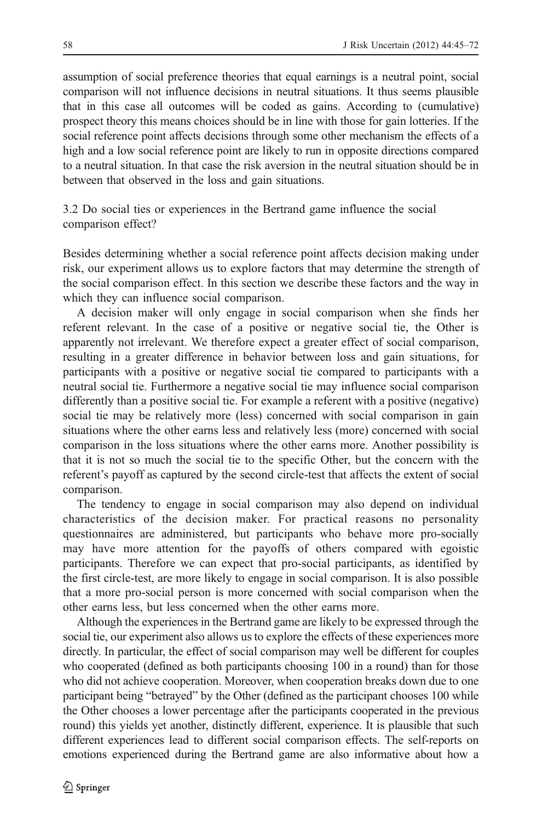assumption of social preference theories that equal earnings is a neutral point, social comparison will not influence decisions in neutral situations. It thus seems plausible that in this case all outcomes will be coded as gains. According to (cumulative) prospect theory this means choices should be in line with those for gain lotteries. If the social reference point affects decisions through some other mechanism the effects of a high and a low social reference point are likely to run in opposite directions compared to a neutral situation. In that case the risk aversion in the neutral situation should be in between that observed in the loss and gain situations.

3.2 Do social ties or experiences in the Bertrand game influence the social comparison effect?

Besides determining whether a social reference point affects decision making under risk, our experiment allows us to explore factors that may determine the strength of the social comparison effect. In this section we describe these factors and the way in which they can influence social comparison.

A decision maker will only engage in social comparison when she finds her referent relevant. In the case of a positive or negative social tie, the Other is apparently not irrelevant. We therefore expect a greater effect of social comparison, resulting in a greater difference in behavior between loss and gain situations, for participants with a positive or negative social tie compared to participants with a neutral social tie. Furthermore a negative social tie may influence social comparison differently than a positive social tie. For example a referent with a positive (negative) social tie may be relatively more (less) concerned with social comparison in gain situations where the other earns less and relatively less (more) concerned with social comparison in the loss situations where the other earns more. Another possibility is that it is not so much the social tie to the specific Other, but the concern with the referent's payoff as captured by the second circle-test that affects the extent of social comparison.

The tendency to engage in social comparison may also depend on individual characteristics of the decision maker. For practical reasons no personality questionnaires are administered, but participants who behave more pro-socially may have more attention for the payoffs of others compared with egoistic participants. Therefore we can expect that pro-social participants, as identified by the first circle-test, are more likely to engage in social comparison. It is also possible that a more pro-social person is more concerned with social comparison when the other earns less, but less concerned when the other earns more.

Although the experiences in the Bertrand game are likely to be expressed through the social tie, our experiment also allows us to explore the effects of these experiences more directly. In particular, the effect of social comparison may well be different for couples who cooperated (defined as both participants choosing 100 in a round) than for those who did not achieve cooperation. Moreover, when cooperation breaks down due to one participant being "betrayed" by the Other (defined as the participant chooses 100 while the Other chooses a lower percentage after the participants cooperated in the previous round) this yields yet another, distinctly different, experience. It is plausible that such different experiences lead to different social comparison effects. The self-reports on emotions experienced during the Bertrand game are also informative about how a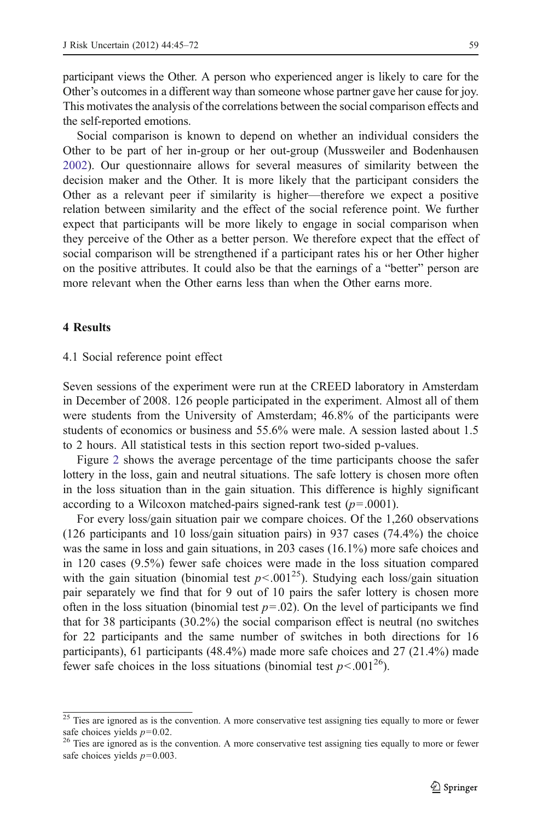<span id="page-15-0"></span>participant views the Other. A person who experienced anger is likely to care for the Other's outcomes in a different way than someone whose partner gave her cause for joy. This motivates the analysis of the correlations between the social comparison effects and the self-reported emotions.

Social comparison is known to depend on whether an individual considers the Other to be part of her in-group or her out-group (Mussweiler and Bodenhausen [2002\)](#page-28-0). Our questionnaire allows for several measures of similarity between the decision maker and the Other. It is more likely that the participant considers the Other as a relevant peer if similarity is higher—therefore we expect a positive relation between similarity and the effect of the social reference point. We further expect that participants will be more likely to engage in social comparison when they perceive of the Other as a better person. We therefore expect that the effect of social comparison will be strengthened if a participant rates his or her Other higher on the positive attributes. It could also be that the earnings of a "better" person are more relevant when the Other earns less than when the Other earns more.

#### 4 Results

#### 4.1 Social reference point effect

Seven sessions of the experiment were run at the CREED laboratory in Amsterdam in December of 2008. 126 people participated in the experiment. Almost all of them were students from the University of Amsterdam; 46.8% of the participants were students of economics or business and 55.6% were male. A session lasted about 1.5 to 2 hours. All statistical tests in this section report two-sided p-values.

Figure [2](#page-16-0) shows the average percentage of the time participants choose the safer lottery in the loss, gain and neutral situations. The safe lottery is chosen more often in the loss situation than in the gain situation. This difference is highly significant according to a Wilcoxon matched-pairs signed-rank test  $(p=.0001)$ .

For every loss/gain situation pair we compare choices. Of the 1,260 observations (126 participants and 10 loss/gain situation pairs) in 937 cases (74.4%) the choice was the same in loss and gain situations, in 203 cases (16.1%) more safe choices and in 120 cases (9.5%) fewer safe choices were made in the loss situation compared with the gain situation (binomial test  $p < .001^{25}$ ). Studying each loss/gain situation pair separately we find that for 9 out of 10 pairs the safer lottery is chosen more often in the loss situation (binomial test  $p=.02$ ). On the level of participants we find that for 38 participants (30.2%) the social comparison effect is neutral (no switches for 22 participants and the same number of switches in both directions for 16 participants), 61 participants (48.4%) made more safe choices and 27 (21.4%) made fewer safe choices in the loss situations (binomial test  $p < .001^{26}$ ).

 $25$  Ties are ignored as is the convention. A more conservative test assigning ties equally to more or fewer safe choices yields  $p=0.02$ .<br><sup>26</sup> Ties are ignored as is the convention. A more conservative test assigning ties equally to more or fewer

safe choices yields  $p=0.003$ .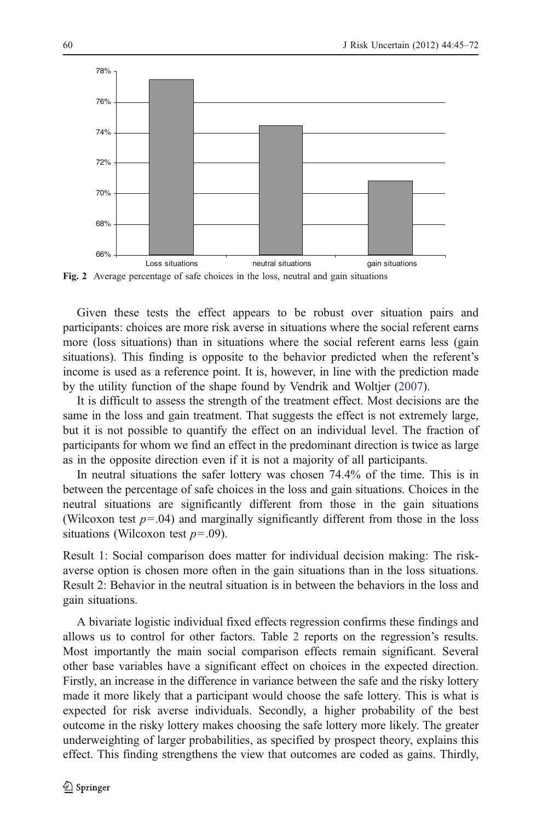<span id="page-16-0"></span>

Fig. 2 Average percentage of safe choices in the loss, neutral and gain situations

Given these tests the effect appears to be robust over situation pairs and participants: choices are more risk averse in situations where the social referent earns more (loss situations) than in situations where the social referent earns less (gain situations). This finding is opposite to the behavior predicted when the referent's income is used as a reference point. It is, however, in line with the prediction made by the utility function of the shape found by Vendrik and Woltjer [\(2007](#page-28-0)).

It is difficult to assess the strength of the treatment effect. Most decisions are the same in the loss and gain treatment. That suggests the effect is not extremely large, but it is not possible to quantify the effect on an individual level. The fraction of participants for whom we find an effect in the predominant direction is twice as large as in the opposite direction even if it is not a majority of all participants.

In neutral situations the safer lottery was chosen 74.4% of the time. This is in between the percentage of safe choices in the loss and gain situations. Choices in the neutral situations are significantly different from those in the gain situations (Wilcoxon test  $p=0.04$ ) and marginally significantly different from those in the loss situations (Wilcoxon test  $p = .09$ ).

Result 1: Social comparison does matter for individual decision making: The riskaverse option is chosen more often in the gain situations than in the loss situations. Result 2: Behavior in the neutral situation is in between the behaviors in the loss and gain situations.

A bivariate logistic individual fixed effects regression confirms these findings and allows us to control for other factors. Table [2](#page-17-0) reports on the regression's results. Most importantly the main social comparison effects remain significant. Several other base variables have a significant effect on choices in the expected direction. Firstly, an increase in the difference in variance between the safe and the risky lottery made it more likely that a participant would choose the safe lottery. This is what is expected for risk averse individuals. Secondly, a higher probability of the best outcome in the risky lottery makes choosing the safe lottery more likely. The greater underweighting of larger probabilities, as specified by prospect theory, explains this effect. This finding strengthens the view that outcomes are coded as gains. Thirdly,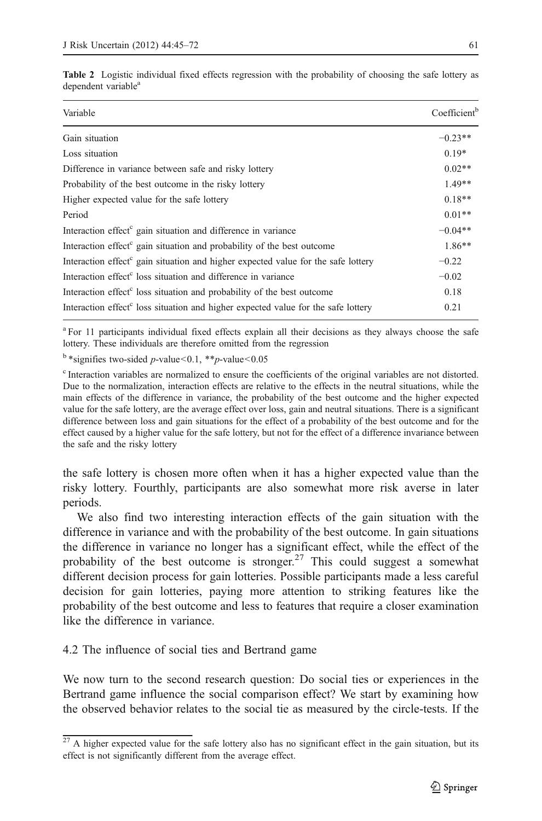| Variable                                                                                      | Coefficient <sup>b</sup> |
|-----------------------------------------------------------------------------------------------|--------------------------|
| Gain situation                                                                                | $-0.23**$                |
| Loss situation                                                                                | $0.19*$                  |
| Difference in variance between safe and risky lottery                                         | $0.02**$                 |
| Probability of the best outcome in the risky lottery                                          | $1.49**$                 |
| Higher expected value for the safe lottery                                                    | $0.18**$                 |
| Period                                                                                        | $0.01**$                 |
| Interaction effect <sup>c</sup> gain situation and difference in variance                     | $-0.04**$                |
| Interaction effect <sup>c</sup> gain situation and probability of the best outcome            | $1.86**$                 |
| Interaction effect <sup>c</sup> gain situation and higher expected value for the safe lottery | $-0.22$                  |
| Interaction effect <sup>c</sup> loss situation and difference in variance                     | $-0.02$                  |
| Interaction effect <sup>c</sup> loss situation and probability of the best outcome            | 0.18                     |
| Interaction effect <sup>c</sup> loss situation and higher expected value for the safe lottery | 0.21                     |

<span id="page-17-0"></span>Table 2 Logistic individual fixed effects regression with the probability of choosing the safe lottery as dependent variable<sup>a</sup>

<sup>a</sup> For 11 participants individual fixed effects explain all their decisions as they always choose the safe lottery. These individuals are therefore omitted from the regression

<sup>b</sup>\*signifies two-sided *p*-value<0.1, \*\**p*-value<0.05

<sup>c</sup> Interaction variables are normalized to ensure the coefficients of the original variables are not distorted. Due to the normalization, interaction effects are relative to the effects in the neutral situations, while the main effects of the difference in variance, the probability of the best outcome and the higher expected value for the safe lottery, are the average effect over loss, gain and neutral situations. There is a significant difference between loss and gain situations for the effect of a probability of the best outcome and for the effect caused by a higher value for the safe lottery, but not for the effect of a difference invariance between the safe and the risky lottery

the safe lottery is chosen more often when it has a higher expected value than the risky lottery. Fourthly, participants are also somewhat more risk averse in later periods.

We also find two interesting interaction effects of the gain situation with the difference in variance and with the probability of the best outcome. In gain situations the difference in variance no longer has a significant effect, while the effect of the probability of the best outcome is stronger.<sup>27</sup> This could suggest a somewhat different decision process for gain lotteries. Possible participants made a less careful decision for gain lotteries, paying more attention to striking features like the probability of the best outcome and less to features that require a closer examination like the difference in variance.

4.2 The influence of social ties and Bertrand game

We now turn to the second research question: Do social ties or experiences in the Bertrand game influence the social comparison effect? We start by examining how the observed behavior relates to the social tie as measured by the circle-tests. If the

 $27$  A higher expected value for the safe lottery also has no significant effect in the gain situation, but its effect is not significantly different from the average effect.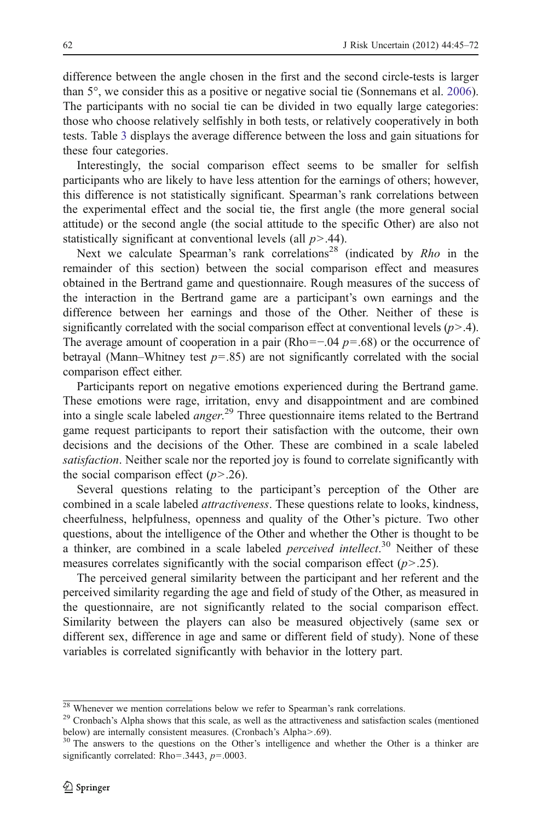difference between the angle chosen in the first and the second circle-tests is larger than 5°, we consider this as a positive or negative social tie (Sonnemans et al. [2006\)](#page-28-0). The participants with no social tie can be divided in two equally large categories: those who choose relatively selfishly in both tests, or relatively cooperatively in both tests. Table [3](#page-19-0) displays the average difference between the loss and gain situations for these four categories.

Interestingly, the social comparison effect seems to be smaller for selfish participants who are likely to have less attention for the earnings of others; however, this difference is not statistically significant. Spearman's rank correlations between the experimental effect and the social tie, the first angle (the more general social attitude) or the second angle (the social attitude to the specific Other) are also not statistically significant at conventional levels (all  $p$  > .44).

Next we calculate Spearman's rank correlations<sup>28</sup> (indicated by *Rho* in the remainder of this section) between the social comparison effect and measures obtained in the Bertrand game and questionnaire. Rough measures of the success of the interaction in the Bertrand game are a participant's own earnings and the difference between her earnings and those of the Other. Neither of these is significantly correlated with the social comparison effect at conventional levels  $(p>4)$ . The average amount of cooperation in a pair (Rho=−.04  $p=$ .68) or the occurrence of betrayal (Mann–Whitney test  $p=0.85$ ) are not significantly correlated with the social comparison effect either.

Participants report on negative emotions experienced during the Bertrand game. These emotions were rage, irritation, envy and disappointment and are combined into a single scale labeled anger.<sup>29</sup> Three questionnaire items related to the Bertrand game request participants to report their satisfaction with the outcome, their own decisions and the decisions of the Other. These are combined in a scale labeled satisfaction. Neither scale nor the reported joy is found to correlate significantly with the social comparison effect  $(p > .26)$ .

Several questions relating to the participant's perception of the Other are combined in a scale labeled attractiveness. These questions relate to looks, kindness, cheerfulness, helpfulness, openness and quality of the Other's picture. Two other questions, about the intelligence of the Other and whether the Other is thought to be a thinker, are combined in a scale labeled *perceived intellect*.<sup>30</sup> Neither of these measures correlates significantly with the social comparison effect  $(p>25)$ .

The perceived general similarity between the participant and her referent and the perceived similarity regarding the age and field of study of the Other, as measured in the questionnaire, are not significantly related to the social comparison effect. Similarity between the players can also be measured objectively (same sex or different sex, difference in age and same or different field of study). None of these variables is correlated significantly with behavior in the lottery part.

 $\frac{28}{29}$  Whenever we mention correlations below we refer to Spearman's rank correlations.<br><sup>29</sup> Cronbach's Alpha shows that this scale, as well as the attractiveness and satisfaction scales (mentioned below) are internally consistent measures. (Cronbach's Alpha>.69). <sup>30</sup> The answers to the questions on the Other's intelligence and whether the Other is a thinker are

significantly correlated: Rho=.3443,  $p = .0003$ .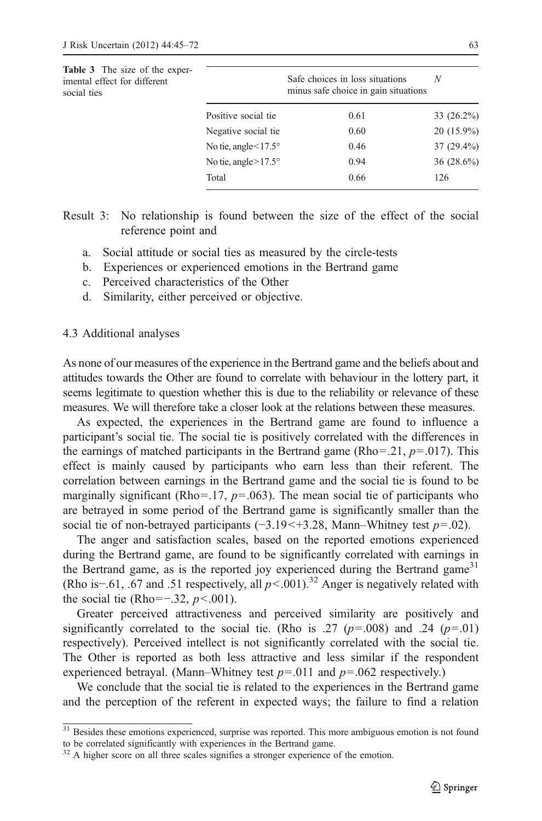<span id="page-19-0"></span>Table 3 The size of the experimental effect for different social ties

|                                 | sale choices in 10ss shuations<br>minus safe choice in gain situations |               |  |
|---------------------------------|------------------------------------------------------------------------|---------------|--|
| Positive social tie             | 0.61                                                                   | 33 $(26.2\%)$ |  |
| Negative social tie             | 0.60                                                                   | $20(15.9\%)$  |  |
| No tie, angle $\leq 17.5^\circ$ | 0.46                                                                   | $37(29.4\%)$  |  |
| No tie, angle $>17.5^\circ$     | 0.94                                                                   | 36 $(28.6\%)$ |  |
| Total                           | 0.66                                                                   | 126           |  |

Safe choices in loss situations

- Result 3: No relationship is found between the size of the effect of the social reference point and
	- a. Social attitude or social ties as measured by the circle-tests
	- b. Experiences or experienced emotions in the Bertrand game
	- c. Perceived characteristics of the Other
	- d. Similarity, either perceived or objective.

#### 4.3 Additional analyses

As none of our measures of the experience in the Bertrand game and the beliefs about and attitudes towards the Other are found to correlate with behaviour in the lottery part, it seems legitimate to question whether this is due to the reliability or relevance of these measures. We will therefore take a closer look at the relations between these measures.

As expected, the experiences in the Bertrand game are found to influence a participant's social tie. The social tie is positively correlated with the differences in the earnings of matched participants in the Bertrand game (Rho=.21,  $p=0.017$ ). This effect is mainly caused by participants who earn less than their referent. The correlation between earnings in the Bertrand game and the social tie is found to be marginally significant (Rho=.17,  $p=0.063$ ). The mean social tie of participants who are betrayed in some period of the Bertrand game is significantly smaller than the social tie of non-betrayed participants  $(-3.19<+3.28$ , Mann–Whitney test  $p=.02$ ).

The anger and satisfaction scales, based on the reported emotions experienced during the Bertrand game, are found to be significantly correlated with earnings in the Bertrand game, as is the reported joy experienced during the Bertrand game<sup>31</sup> (Rho is–.61, .67 and .51 respectively, all  $p$ <.001).<sup>32</sup> Anger is negatively related with the social tie (Rho=−.32,  $p$ <.001).

Greater perceived attractiveness and perceived similarity are positively and significantly correlated to the social tie. (Rho is .27 ( $p=0.008$ ) and .24 ( $p=.01$ ) respectively). Perceived intellect is not significantly correlated with the social tie. The Other is reported as both less attractive and less similar if the respondent experienced betrayal. (Mann–Whitney test  $p = 0.011$  and  $p = 0.062$  respectively.)

We conclude that the social tie is related to the experiences in the Bertrand game and the perception of the referent in expected ways; the failure to find a relation

N

 $31$  Besides these emotions experienced, surprise was reported. This more ambiguous emotion is not found to be correlated significantly with experiences in the Bertrand game.

<sup>&</sup>lt;sup>32</sup> A higher score on all three scales signifies a stronger experience of the emotion.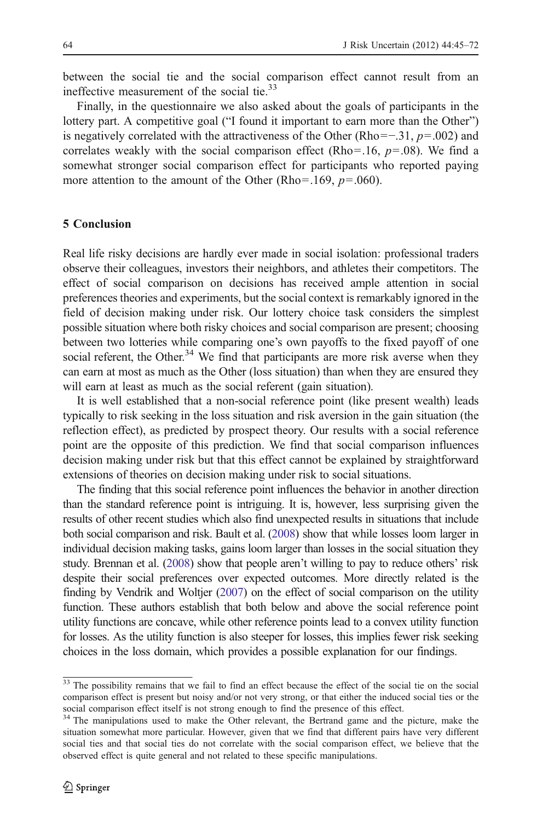<span id="page-20-0"></span>between the social tie and the social comparison effect cannot result from an ineffective measurement of the social tie.<sup>33</sup>

Finally, in the questionnaire we also asked about the goals of participants in the lottery part. A competitive goal ("I found it important to earn more than the Other") is negatively correlated with the attractiveness of the Other (Rho=−.31,  $p = .002$ ) and correlates weakly with the social comparison effect (Rho=.16,  $p=0.08$ ). We find a somewhat stronger social comparison effect for participants who reported paying more attention to the amount of the Other (Rho=.169,  $p=0.060$ ).

## 5 Conclusion

Real life risky decisions are hardly ever made in social isolation: professional traders observe their colleagues, investors their neighbors, and athletes their competitors. The effect of social comparison on decisions has received ample attention in social preferences theories and experiments, but the social context is remarkably ignored in the field of decision making under risk. Our lottery choice task considers the simplest possible situation where both risky choices and social comparison are present; choosing between two lotteries while comparing one's own payoffs to the fixed payoff of one social referent, the Other. $34$  We find that participants are more risk averse when they can earn at most as much as the Other (loss situation) than when they are ensured they will earn at least as much as the social referent (gain situation).

It is well established that a non-social reference point (like present wealth) leads typically to risk seeking in the loss situation and risk aversion in the gain situation (the reflection effect), as predicted by prospect theory. Our results with a social reference point are the opposite of this prediction. We find that social comparison influences decision making under risk but that this effect cannot be explained by straightforward extensions of theories on decision making under risk to social situations.

The finding that this social reference point influences the behavior in another direction than the standard reference point is intriguing. It is, however, less surprising given the results of other recent studies which also find unexpected results in situations that include both social comparison and risk. Bault et al. [\(2008](#page-27-0)) show that while losses loom larger in individual decision making tasks, gains loom larger than losses in the social situation they study. Brennan et al. [\(2008](#page-27-0)) show that people aren't willing to pay to reduce others' risk despite their social preferences over expected outcomes. More directly related is the finding by Vendrik and Woltjer [\(2007](#page-28-0)) on the effect of social comparison on the utility function. These authors establish that both below and above the social reference point utility functions are concave, while other reference points lead to a convex utility function for losses. As the utility function is also steeper for losses, this implies fewer risk seeking choices in the loss domain, which provides a possible explanation for our findings.

<sup>&</sup>lt;sup>33</sup> The possibility remains that we fail to find an effect because the effect of the social tie on the social comparison effect is present but noisy and/or not very strong, or that either the induced social ties or the social comparison effect itself is not strong enough to find the presence of this effect.

<sup>&</sup>lt;sup>34</sup> The manipulations used to make the Other relevant, the Bertrand game and the picture, make the situation somewhat more particular. However, given that we find that different pairs have very different social ties and that social ties do not correlate with the social comparison effect, we believe that the observed effect is quite general and not related to these specific manipulations.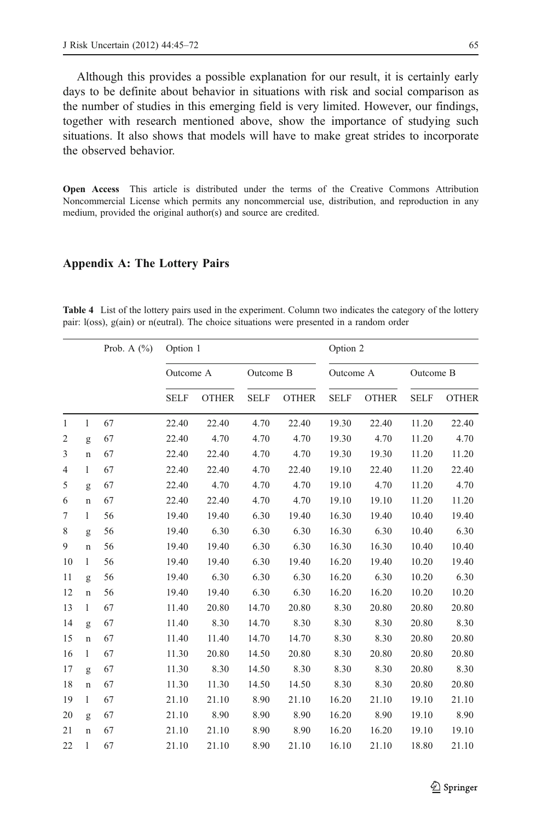<span id="page-21-0"></span>Although this provides a possible explanation for our result, it is certainly early days to be definite about behavior in situations with risk and social comparison as the number of studies in this emerging field is very limited. However, our findings, together with research mentioned above, show the importance of studying such situations. It also shows that models will have to make great strides to incorporate the observed behavior.

Open Access This article is distributed under the terms of the Creative Commons Attribution Noncommercial License which permits any noncommercial use, distribution, and reproduction in any medium, provided the original author(s) and source are credited.

#### Appendix A: The Lottery Pairs

Table 4 List of the lottery pairs used in the experiment. Column two indicates the category of the lottery pair: l(oss), g(ain) or n(eutral). The choice situations were presented in a random order

|                |              | Prob. A $(\% )$ | Option 1    |              |             | Option 2     |             |              |             |              |
|----------------|--------------|-----------------|-------------|--------------|-------------|--------------|-------------|--------------|-------------|--------------|
|                |              |                 | Outcome A   |              | Outcome B   |              | Outcome A   |              | Outcome B   |              |
|                |              |                 | <b>SELF</b> | <b>OTHER</b> | <b>SELF</b> | <b>OTHER</b> | <b>SELF</b> | <b>OTHER</b> | <b>SELF</b> | <b>OTHER</b> |
| $\mathbf{1}$   | $\mathbf{1}$ | 67              | 22.40       | 22.40        | 4.70        | 22.40        | 19.30       | 22.40        | 11.20       | 22.40        |
| $\overline{c}$ | g            | 67              | 22.40       | 4.70         | 4.70        | 4.70         | 19.30       | 4.70         | 11.20       | 4.70         |
| 3              | $\mathbf n$  | 67              | 22.40       | 22.40        | 4.70        | 4.70         | 19.30       | 19.30        | 11.20       | 11.20        |
| $\overline{4}$ | 1            | 67              | 22.40       | 22.40        | 4.70        | 22.40        | 19.10       | 22.40        | 11.20       | 22.40        |
| 5              | g            | 67              | 22.40       | 4.70         | 4.70        | 4.70         | 19.10       | 4.70         | 11.20       | 4.70         |
| 6              | $\mathbf n$  | 67              | 22.40       | 22.40        | 4.70        | 4.70         | 19.10       | 19.10        | 11.20       | 11.20        |
| 7              | 1            | 56              | 19.40       | 19.40        | 6.30        | 19.40        | 16.30       | 19.40        | 10.40       | 19.40        |
| 8              | g            | 56              | 19.40       | 6.30         | 6.30        | 6.30         | 16.30       | 6.30         | 10.40       | 6.30         |
| 9              | $\mathbf n$  | 56              | 19.40       | 19.40        | 6.30        | 6.30         | 16.30       | 16.30        | 10.40       | 10.40        |
| 10             | 1            | 56              | 19.40       | 19.40        | 6.30        | 19.40        | 16.20       | 19.40        | 10.20       | 19.40        |
| 11             | g            | 56              | 19.40       | 6.30         | 6.30        | 6.30         | 16.20       | 6.30         | 10.20       | 6.30         |
| 12             | $\mathbf n$  | 56              | 19.40       | 19.40        | 6.30        | 6.30         | 16.20       | 16.20        | 10.20       | 10.20        |
| 13             | 1            | 67              | 11.40       | 20.80        | 14.70       | 20.80        | 8.30        | 20.80        | 20.80       | 20.80        |
| 14             | g            | 67              | 11.40       | 8.30         | 14.70       | 8.30         | 8.30        | 8.30         | 20.80       | 8.30         |
| 15             | $\mathbf n$  | 67              | 11.40       | 11.40        | 14.70       | 14.70        | 8.30        | 8.30         | 20.80       | 20.80        |
| 16             | 1            | 67              | 11.30       | 20.80        | 14.50       | 20.80        | 8.30        | 20.80        | 20.80       | 20.80        |
| 17             | g            | 67              | 11.30       | 8.30         | 14.50       | 8.30         | 8.30        | 8.30         | 20.80       | 8.30         |
| 18             | $\mathbf n$  | 67              | 11.30       | 11.30        | 14.50       | 14.50        | 8.30        | 8.30         | 20.80       | 20.80        |
| 19             | 1            | 67              | 21.10       | 21.10        | 8.90        | 21.10        | 16.20       | 21.10        | 19.10       | 21.10        |
| 20             | g            | 67              | 21.10       | 8.90         | 8.90        | 8.90         | 16.20       | 8.90         | 19.10       | 8.90         |
| 21             | $\mathsf{n}$ | 67              | 21.10       | 21.10        | 8.90        | 8.90         | 16.20       | 16.20        | 19.10       | 19.10        |
| 22             | 1            | 67              | 21.10       | 21.10        | 8.90        | 21.10        | 16.10       | 21.10        | 18.80       | 21.10        |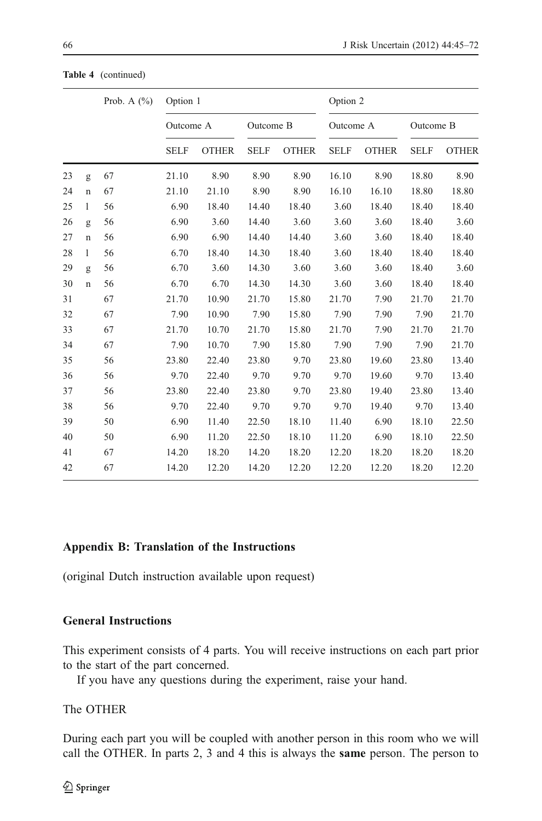|    |             | Prob. A $(\% )$ | Option 1    |              |             | Option 2     |             |              |             |              |
|----|-------------|-----------------|-------------|--------------|-------------|--------------|-------------|--------------|-------------|--------------|
|    |             |                 | Outcome A   |              | Outcome B   |              | Outcome A   |              | Outcome B   |              |
|    |             |                 | <b>SELF</b> | <b>OTHER</b> | <b>SELF</b> | <b>OTHER</b> | <b>SELF</b> | <b>OTHER</b> | <b>SELF</b> | <b>OTHER</b> |
| 23 | g           | 67              | 21.10       | 8.90         | 8.90        | 8.90         | 16.10       | 8.90         | 18.80       | 8.90         |
| 24 | $\mathbf n$ | 67              | 21.10       | 21.10        | 8.90        | 8.90         | 16.10       | 16.10        | 18.80       | 18.80        |
| 25 | 1           | 56              | 6.90        | 18.40        | 14.40       | 18.40        | 3.60        | 18.40        | 18.40       | 18.40        |
| 26 | g           | 56              | 6.90        | 3.60         | 14.40       | 3.60         | 3.60        | 3.60         | 18.40       | 3.60         |
| 27 | $\mathbf n$ | 56              | 6.90        | 6.90         | 14.40       | 14.40        | 3.60        | 3.60         | 18.40       | 18.40        |
| 28 | 1           | 56              | 6.70        | 18.40        | 14.30       | 18.40        | 3.60        | 18.40        | 18.40       | 18.40        |
| 29 | g           | 56              | 6.70        | 3.60         | 14.30       | 3.60         | 3.60        | 3.60         | 18.40       | 3.60         |
| 30 | $\mathbf n$ | 56              | 6.70        | 6.70         | 14.30       | 14.30        | 3.60        | 3.60         | 18.40       | 18.40        |
| 31 |             | 67              | 21.70       | 10.90        | 21.70       | 15.80        | 21.70       | 7.90         | 21.70       | 21.70        |
| 32 |             | 67              | 7.90        | 10.90        | 7.90        | 15.80        | 7.90        | 7.90         | 7.90        | 21.70        |
| 33 |             | 67              | 21.70       | 10.70        | 21.70       | 15.80        | 21.70       | 7.90         | 21.70       | 21.70        |
| 34 |             | 67              | 7.90        | 10.70        | 7.90        | 15.80        | 7.90        | 7.90         | 7.90        | 21.70        |
| 35 |             | 56              | 23.80       | 22.40        | 23.80       | 9.70         | 23.80       | 19.60        | 23.80       | 13.40        |
| 36 |             | 56              | 9.70        | 22.40        | 9.70        | 9.70         | 9.70        | 19.60        | 9.70        | 13.40        |
| 37 |             | 56              | 23.80       | 22.40        | 23.80       | 9.70         | 23.80       | 19.40        | 23.80       | 13.40        |
| 38 |             | 56              | 9.70        | 22.40        | 9.70        | 9.70         | 9.70        | 19.40        | 9.70        | 13.40        |
| 39 |             | 50              | 6.90        | 11.40        | 22.50       | 18.10        | 11.40       | 6.90         | 18.10       | 22.50        |
| 40 |             | 50              | 6.90        | 11.20        | 22.50       | 18.10        | 11.20       | 6.90         | 18.10       | 22.50        |
| 41 |             | 67              | 14.20       | 18.20        | 14.20       | 18.20        | 12.20       | 18.20        | 18.20       | 18.20        |
| 42 |             | 67              | 14.20       | 12.20        | 14.20       | 12.20        | 12.20       | 12.20        | 18.20       | 12.20        |

#### <span id="page-22-0"></span>Table 4 (continued)

## Appendix B: Translation of the Instructions

(original Dutch instruction available upon request)

## General Instructions

This experiment consists of 4 parts. You will receive instructions on each part prior to the start of the part concerned.

If you have any questions during the experiment, raise your hand.

The OTHER

During each part you will be coupled with another person in this room who we will call the OTHER. In parts 2, 3 and 4 this is always the same person. The person to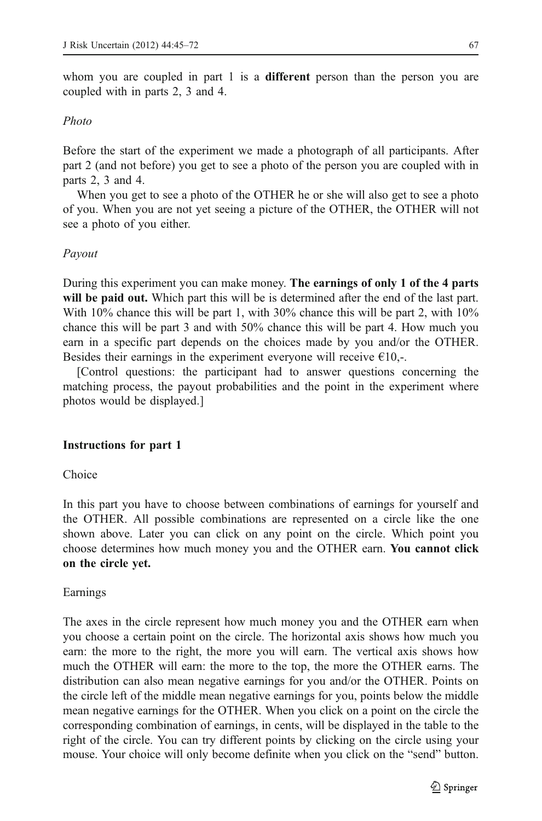whom you are coupled in part 1 is a **different** person than the person you are coupled with in parts 2, 3 and 4.

## Photo

Before the start of the experiment we made a photograph of all participants. After part 2 (and not before) you get to see a photo of the person you are coupled with in parts 2, 3 and 4.

When you get to see a photo of the OTHER he or she will also get to see a photo of you. When you are not yet seeing a picture of the OTHER, the OTHER will not see a photo of you either.

#### Payout

During this experiment you can make money. The earnings of only 1 of the 4 parts will be paid out. Which part this will be is determined after the end of the last part. With 10% chance this will be part 1, with 30% chance this will be part 2, with 10% chance this will be part 3 and with 50% chance this will be part 4. How much you earn in a specific part depends on the choices made by you and/or the OTHER. Besides their earnings in the experiment everyone will receive  $\epsilon 10,$ .

[Control questions: the participant had to answer questions concerning the matching process, the payout probabilities and the point in the experiment where photos would be displayed.]

#### Instructions for part 1

## Choice

In this part you have to choose between combinations of earnings for yourself and the OTHER. All possible combinations are represented on a circle like the one shown above. Later you can click on any point on the circle. Which point you choose determines how much money you and the OTHER earn. You cannot click on the circle yet.

#### Earnings

The axes in the circle represent how much money you and the OTHER earn when you choose a certain point on the circle. The horizontal axis shows how much you earn: the more to the right, the more you will earn. The vertical axis shows how much the OTHER will earn: the more to the top, the more the OTHER earns. The distribution can also mean negative earnings for you and/or the OTHER. Points on the circle left of the middle mean negative earnings for you, points below the middle mean negative earnings for the OTHER. When you click on a point on the circle the corresponding combination of earnings, in cents, will be displayed in the table to the right of the circle. You can try different points by clicking on the circle using your mouse. Your choice will only become definite when you click on the "send" button.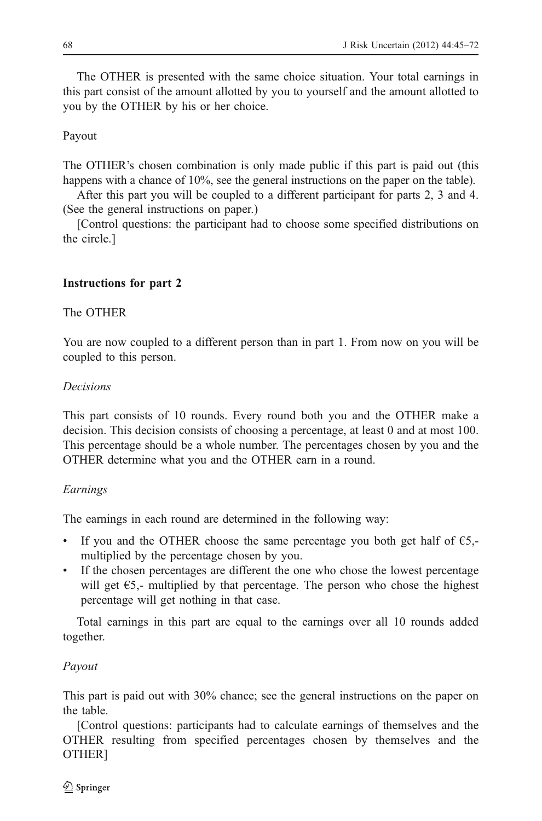The OTHER is presented with the same choice situation. Your total earnings in this part consist of the amount allotted by you to yourself and the amount allotted to you by the OTHER by his or her choice.

## Payout

The OTHER's chosen combination is only made public if this part is paid out (this happens with a chance of 10%, see the general instructions on the paper on the table).

After this part you will be coupled to a different participant for parts 2, 3 and 4. (See the general instructions on paper.)

[Control questions: the participant had to choose some specified distributions on the circle.]

## Instructions for part 2

## The OTHER

You are now coupled to a different person than in part 1. From now on you will be coupled to this person.

## Decisions

This part consists of 10 rounds. Every round both you and the OTHER make a decision. This decision consists of choosing a percentage, at least 0 and at most 100. This percentage should be a whole number. The percentages chosen by you and the OTHER determine what you and the OTHER earn in a round.

## Earnings

The earnings in each round are determined in the following way:

- If you and the OTHER choose the same percentage you both get half of  $\epsilon$ 5,multiplied by the percentage chosen by you.
- & If the chosen percentages are different the one who chose the lowest percentage will get  $\epsilon$ 5,- multiplied by that percentage. The person who chose the highest percentage will get nothing in that case.

Total earnings in this part are equal to the earnings over all 10 rounds added together.

## Payout

This part is paid out with 30% chance; see the general instructions on the paper on the table.

[Control questions: participants had to calculate earnings of themselves and the OTHER resulting from specified percentages chosen by themselves and the OTHER]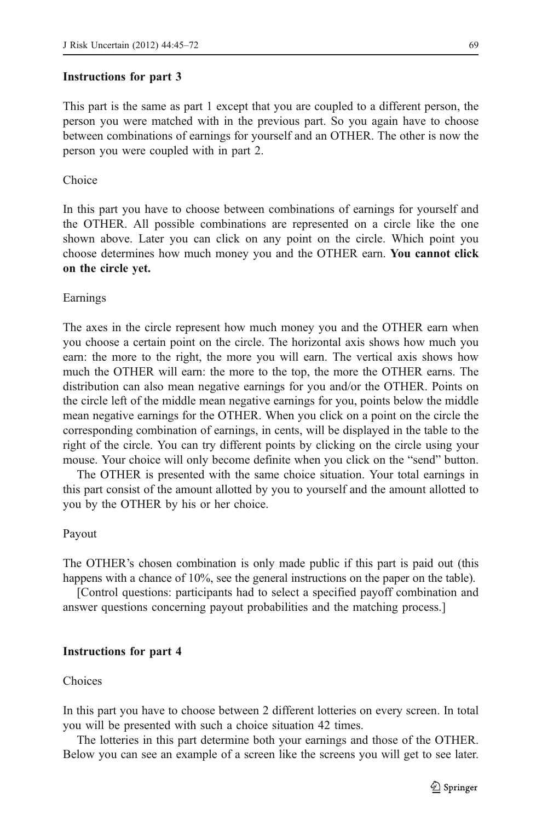This part is the same as part 1 except that you are coupled to a different person, the person you were matched with in the previous part. So you again have to choose between combinations of earnings for yourself and an OTHER. The other is now the person you were coupled with in part 2.

## Choice

In this part you have to choose between combinations of earnings for yourself and the OTHER. All possible combinations are represented on a circle like the one shown above. Later you can click on any point on the circle. Which point you choose determines how much money you and the OTHER earn. You cannot click on the circle yet.

## Earnings

The axes in the circle represent how much money you and the OTHER earn when you choose a certain point on the circle. The horizontal axis shows how much you earn: the more to the right, the more you will earn. The vertical axis shows how much the OTHER will earn: the more to the top, the more the OTHER earns. The distribution can also mean negative earnings for you and/or the OTHER. Points on the circle left of the middle mean negative earnings for you, points below the middle mean negative earnings for the OTHER. When you click on a point on the circle the corresponding combination of earnings, in cents, will be displayed in the table to the right of the circle. You can try different points by clicking on the circle using your mouse. Your choice will only become definite when you click on the "send" button.

The OTHER is presented with the same choice situation. Your total earnings in this part consist of the amount allotted by you to yourself and the amount allotted to you by the OTHER by his or her choice.

## Payout

The OTHER's chosen combination is only made public if this part is paid out (this happens with a chance of 10%, see the general instructions on the paper on the table).

[Control questions: participants had to select a specified payoff combination and answer questions concerning payout probabilities and the matching process.]

## Instructions for part 4

## Choices

In this part you have to choose between 2 different lotteries on every screen. In total you will be presented with such a choice situation 42 times.

The lotteries in this part determine both your earnings and those of the OTHER. Below you can see an example of a screen like the screens you will get to see later.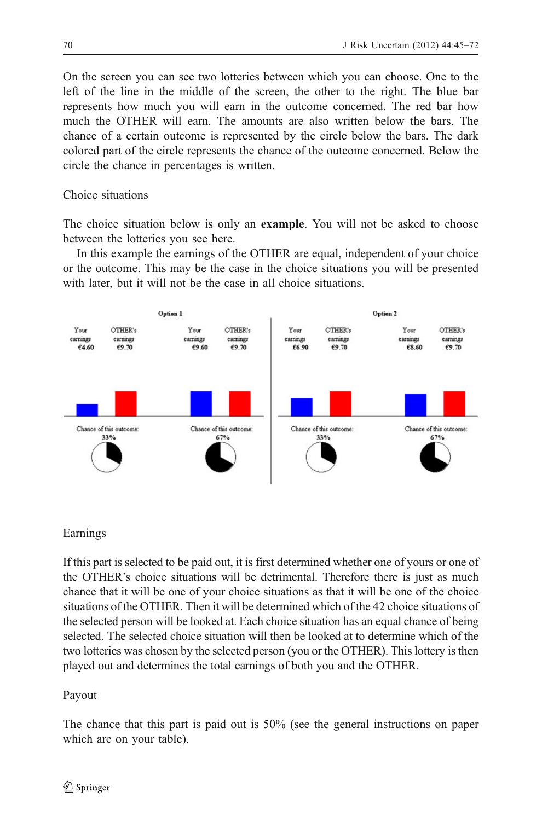On the screen you can see two lotteries between which you can choose. One to the left of the line in the middle of the screen, the other to the right. The blue bar represents how much you will earn in the outcome concerned. The red bar how much the OTHER will earn. The amounts are also written below the bars. The chance of a certain outcome is represented by the circle below the bars. The dark colored part of the circle represents the chance of the outcome concerned. Below the circle the chance in percentages is written.

## Choice situations

The choice situation below is only an example. You will not be asked to choose between the lotteries you see here.

In this example the earnings of the OTHER are equal, independent of your choice or the outcome. This may be the case in the choice situations you will be presented with later, but it will not be the case in all choice situations.



## Earnings

If this part is selected to be paid out, it is first determined whether one of yours or one of the OTHER's choice situations will be detrimental. Therefore there is just as much chance that it will be one of your choice situations as that it will be one of the choice situations of the OTHER. Then it will be determined which of the 42 choice situations of the selected person will be looked at. Each choice situation has an equal chance of being selected. The selected choice situation will then be looked at to determine which of the two lotteries was chosen by the selected person (you or the OTHER). This lottery is then played out and determines the total earnings of both you and the OTHER.

## Payout

The chance that this part is paid out is 50% (see the general instructions on paper which are on your table).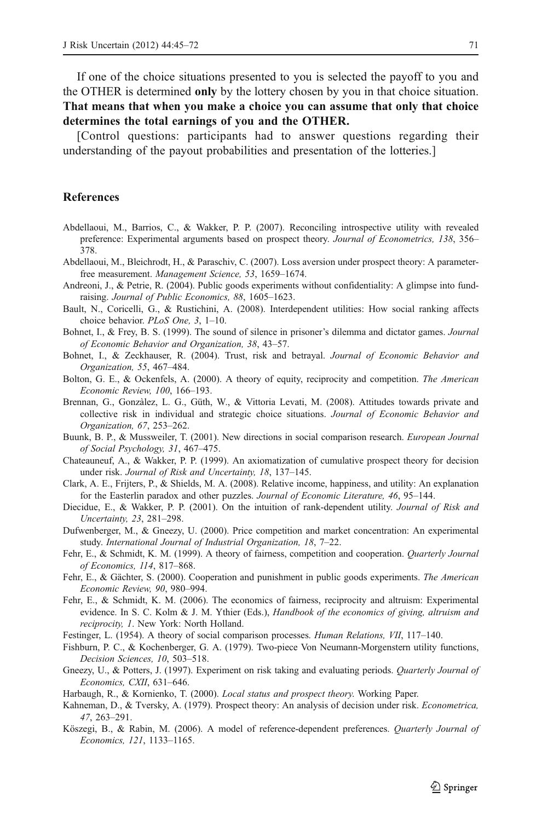<span id="page-27-0"></span>If one of the choice situations presented to you is selected the payoff to you and the OTHER is determined only by the lottery chosen by you in that choice situation. That means that when you make a choice you can assume that only that choice determines the total earnings of you and the OTHER.

[Control questions: participants had to answer questions regarding their understanding of the payout probabilities and presentation of the lotteries.]

## **References**

- Abdellaoui, M., Barrios, C., & Wakker, P. P. (2007). Reconciling introspective utility with revealed preference: Experimental arguments based on prospect theory. Journal of Econometrics, 138, 356– 378.
- Abdellaoui, M., Bleichrodt, H., & Paraschiv, C. (2007). Loss aversion under prospect theory: A parameterfree measurement. Management Science, 53, 1659–1674.
- Andreoni, J., & Petrie, R. (2004). Public goods experiments without confidentiality: A glimpse into fundraising. Journal of Public Economics, 88, 1605–1623.
- Bault, N., Coricelli, G., & Rustichini, A. (2008). Interdependent utilities: How social ranking affects choice behavior. PLoS One, 3, 1–10.
- Bohnet, I., & Frey, B. S. (1999). The sound of silence in prisoner's dilemma and dictator games. Journal of Economic Behavior and Organization, 38, 43–57.
- Bohnet, I., & Zeckhauser, R. (2004). Trust, risk and betrayal. Journal of Economic Behavior and Organization, 55, 467–484.
- Bolton, G. E., & Ockenfels, A. (2000). A theory of equity, reciprocity and competition. The American Economic Review, 100, 166–193.
- Brennan, G., Gonzàlez, L. G., Güth, W., & Vittoria Levati, M. (2008). Attitudes towards private and collective risk in individual and strategic choice situations. Journal of Economic Behavior and Organization, 67, 253–262.
- Buunk, B. P., & Mussweiler, T. (2001). New directions in social comparison research. European Journal of Social Psychology, 31, 467–475.
- Chateauneuf, A., & Wakker, P. P. (1999). An axiomatization of cumulative prospect theory for decision under risk. Journal of Risk and Uncertainty, 18, 137–145.
- Clark, A. E., Frijters, P., & Shields, M. A. (2008). Relative income, happiness, and utility: An explanation for the Easterlin paradox and other puzzles. Journal of Economic Literature, 46, 95–144.
- Diecidue, E., & Wakker, P. P. (2001). On the intuition of rank-dependent utility. Journal of Risk and Uncertainty, 23, 281–298.
- Dufwenberger, M., & Gneezy, U. (2000). Price competition and market concentration: An experimental study. International Journal of Industrial Organization, 18, 7–22.
- Fehr, E., & Schmidt, K. M. (1999). A theory of fairness, competition and cooperation. Quarterly Journal of Economics, 114, 817–868.
- Fehr, E., & Gächter, S. (2000). Cooperation and punishment in public goods experiments. The American Economic Review, 90, 980–994.
- Fehr, E., & Schmidt, K. M. (2006). The economics of fairness, reciprocity and altruism: Experimental evidence. In S. C. Kolm & J. M. Ythier (Eds.), Handbook of the economics of giving, altruism and reciprocity, 1. New York: North Holland.
- Festinger, L. (1954). A theory of social comparison processes. Human Relations, VII, 117–140.
- Fishburn, P. C., & Kochenberger, G. A. (1979). Two-piece Von Neumann-Morgenstern utility functions, Decision Sciences, 10, 503–518.
- Gneezy, U., & Potters, J. (1997). Experiment on risk taking and evaluating periods. Quarterly Journal of Economics, CXII, 631–646.
- Harbaugh, R., & Kornienko, T. (2000). Local status and prospect theory. Working Paper.
- Kahneman, D., & Tversky, A. (1979). Prospect theory: An analysis of decision under risk. Econometrica, 47, 263–291.
- Köszegi, B., & Rabin, M. (2006). A model of reference-dependent preferences. *Quarterly Journal of* Economics, 121, 1133–1165.